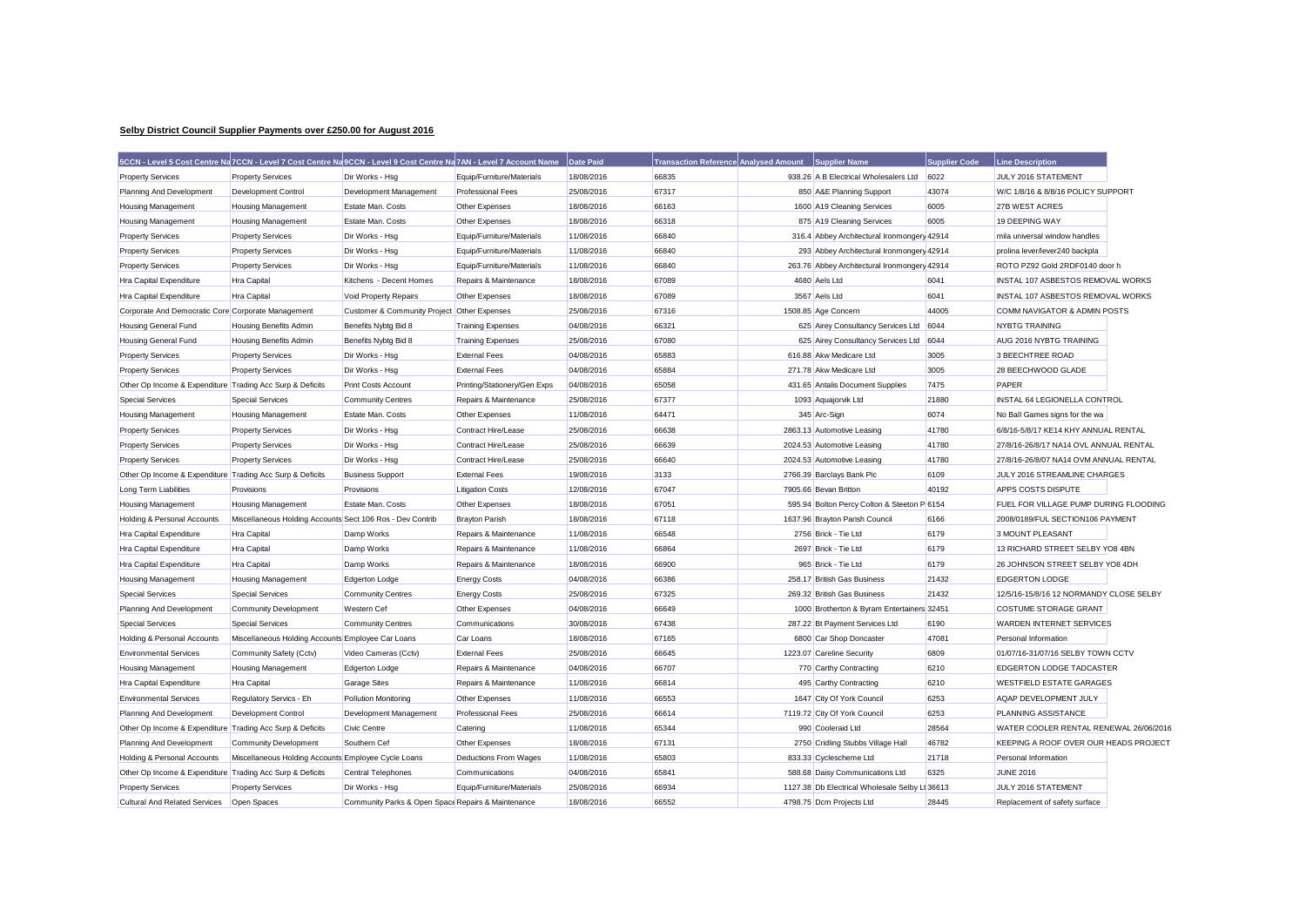## **Selby District Council Supplier Payments over £250.00 for August 2016**

|                                                           |                                                           | 5CCN - Level 5 Cost Centre Na 7CCN - Level 7 Cost Centre Na 9CCN - Level 9 Cost Centre Na 7AN - Level 7 Account Name |                              | Date Paid  | <b>Transaction Reference Analysed Amount</b> | <b>Supplier Name</b>                           | <b>Supplier Code</b> | <b>Line Description</b>                 |  |
|-----------------------------------------------------------|-----------------------------------------------------------|----------------------------------------------------------------------------------------------------------------------|------------------------------|------------|----------------------------------------------|------------------------------------------------|----------------------|-----------------------------------------|--|
| <b>Property Services</b>                                  | <b>Property Services</b>                                  | Dir Works - Hsg                                                                                                      | Equip/Furniture/Materials    | 18/08/2016 | 66835                                        | 938.26 A B Electrical Wholesalers Ltd          | 6022                 | JULY 2016 STATEMENT                     |  |
| Planning And Development                                  | <b>Development Control</b>                                | Development Management                                                                                               | <b>Professional Fees</b>     | 25/08/2016 | 67317                                        | 850 A&E Planning Support                       | 43074                | W/C 1/8/16 & 8/8/16 POLICY SUPPORT      |  |
| Housing Management                                        | <b>Housing Management</b>                                 | Estate Man. Costs                                                                                                    | Other Expenses               | 18/08/2016 | 66163                                        | 1600 A19 Cleaning Services                     | 6005                 | 27B WEST ACRES                          |  |
| Housing Management                                        | <b>Housing Management</b>                                 | Estate Man. Costs                                                                                                    | Other Expenses               | 18/08/2016 | 66318                                        | 875 A19 Cleaning Services                      | 6005                 | 19 DEEPING WAY                          |  |
| <b>Property Services</b>                                  | <b>Property Services</b>                                  | Dir Works - Hsg                                                                                                      | Equip/Furniture/Materials    | 11/08/2016 | 66840                                        | 316.4 Abbey Architectural Ironmongery 42914    |                      | mila universal window handles           |  |
| <b>Property Services</b>                                  | <b>Property Services</b>                                  | Dir Works - Hsg                                                                                                      | Equip/Furniture/Materials    | 11/08/2016 | 66840                                        | 293 Abbey Architectural Ironmongery 42914      |                      | prolina lever/lever240 backpla          |  |
| <b>Property Services</b>                                  | <b>Property Services</b>                                  | Dir Works - Hsg                                                                                                      | Equip/Furniture/Materials    | 11/08/2016 | 66840                                        | 263.76 Abbey Architectural Ironmongery 42914   |                      | ROTO PZ92 Gold 2RDF0140 door h          |  |
| Hra Capital Expenditure                                   | Hra Capital                                               | Kitchens - Decent Homes                                                                                              | Repairs & Maintenance        | 18/08/2016 | 67089                                        | 4680 Aels Ltd                                  | 6041                 | INSTAL 107 ASBESTOS REMOVAL WORKS       |  |
| <b>Hra Capital Expenditure</b>                            | <b>Hra Capital</b>                                        | Void Property Repairs                                                                                                | Other Expenses               | 18/08/2016 | 67089                                        | 3567 Aels Ltd                                  | 6041                 | INSTAL 107 ASBESTOS REMOVAL WORKS       |  |
| Corporate And Democratic Core Corporate Management        |                                                           | Customer & Community Project Other Expenses                                                                          |                              | 25/08/2016 | 67316                                        | 1508.85 Age Concern                            | 44005                | COMM NAVIGATOR & ADMIN POSTS            |  |
| <b>Housing General Fund</b>                               | <b>Housing Benefits Admin</b>                             | Benefits Nybtg Bid 8                                                                                                 | <b>Training Expenses</b>     | 04/08/2016 | 66321                                        | 625 Airey Consultancy Services Ltd             | 6044                 | <b>NYBTG TRAINING</b>                   |  |
| Housing General Fund                                      | <b>Housing Benefits Admin</b>                             | Benefits Nybtg Bid 8                                                                                                 | <b>Training Expenses</b>     | 25/08/2016 | 67080                                        | 625 Airey Consultancy Services Ltd             | 6044                 | AUG 2016 NYBTG TRAINING                 |  |
| <b>Property Services</b>                                  | <b>Property Services</b>                                  | Dir Works - Hsg                                                                                                      | <b>External Fees</b>         | 04/08/2016 | 65883                                        | 616.88 Akw Medicare Ltd                        | 3005                 | 3 BEECHTREE ROAD                        |  |
| <b>Property Services</b>                                  | <b>Property Services</b>                                  | Dir Works - Hsg                                                                                                      | <b>External Fees</b>         | 04/08/2016 | 65884                                        | 271.78 Akw Medicare Ltd                        | 3005                 | 28 BEECHWOOD GLADE                      |  |
| Other Op Income & Expenditure Trading Acc Surp & Deficits |                                                           | <b>Print Costs Account</b>                                                                                           | Printing/Stationery/Gen Exps | 04/08/2016 | 65058                                        | 431.65 Antalis Document Supplies               | 7475                 | PAPER                                   |  |
| <b>Special Services</b>                                   | <b>Special Services</b>                                   | <b>Community Centres</b>                                                                                             | Repairs & Maintenance        | 25/08/2016 | 67377                                        | 1093 Aquajorvik Ltd                            | 21880                | INSTAL 64 LEGIONELLA CONTROL            |  |
| <b>Housing Management</b>                                 | <b>Housing Management</b>                                 | <b>Estate Man. Costs</b>                                                                                             | Other Expenses               | 11/08/2016 | 64471                                        | 345 Arc-Sign                                   | 6074                 | No Ball Games signs for the wa          |  |
| <b>Property Services</b>                                  | <b>Property Services</b>                                  | Dir Works - Hsq                                                                                                      | Contract Hire/Lease          | 25/08/2016 | 66638                                        | 2863.13 Automotive Leasing                     | 41780                | 6/8/16-5/8/17 KE14 KHY ANNUAL RENTAL    |  |
| <b>Property Services</b>                                  | <b>Property Services</b>                                  | Dir Works - Hsg                                                                                                      | Contract Hire/Lease          | 25/08/2016 | 66639                                        | 2024.53 Automotive Leasing                     | 41780                | 27/8/16-26/8/17 NA14 OVL ANNUAL RENTAL  |  |
| <b>Property Services</b>                                  | <b>Property Services</b>                                  | Dir Works - Hsq                                                                                                      | Contract Hire/Lease          | 25/08/2016 | 66640                                        | 2024.53 Automotive Leasing                     | 41780                | 27/8/16-26/8/07 NA14 OVM ANNUAL RENTAL  |  |
| Other Op Income & Expenditure Trading Acc Surp & Deficits |                                                           | <b>Business Support</b>                                                                                              | <b>External Fees</b>         | 19/08/2016 | 3133                                         | 2766.39 Barclays Bank Plc                      | 6109                 | JULY 2016 STREAMLINE CHARGES            |  |
| Long Term Liabilities                                     | Provisions                                                | Provisions                                                                                                           | <b>Litigation Costs</b>      | 12/08/2016 | 67047                                        | 7905.66 Bevan Britton                          | 40192                | APPS COSTS DISPUTE                      |  |
| <b>Housing Management</b>                                 | <b>Housing Management</b>                                 | Estate Man. Costs                                                                                                    | Other Expenses               | 18/08/2016 | 67051                                        | 595.94 Bolton Percy Colton & Steeton P 6154    |                      | FUEL FOR VILLAGE PUMP DURING FLOODING   |  |
| Holding & Personal Accounts                               | Miscellaneous Holding Accounts Sect 106 Ros - Dev Contrib |                                                                                                                      | <b>Brayton Parish</b>        | 18/08/2016 | 67118                                        | 1637.96 Brayton Parish Council                 | 6166                 | 2008/0189/FUL SECTION106 PAYMENT        |  |
| Hra Capital Expenditure                                   | Hra Capital                                               | Damp Works                                                                                                           | Repairs & Maintenance        | 11/08/2016 | 66548                                        | 2756 Brick - Tie Ltd                           | 6179                 | 3 MOUNT PLEASANT                        |  |
| Hra Capital Expenditure                                   | Hra Capital                                               | Damp Works                                                                                                           | Repairs & Maintenance        | 11/08/2016 | 66864                                        | 2697 Brick - Tie Ltd                           | 6179                 | 13 RICHARD STREET SELBY YO8 4BN         |  |
| <b>Hra Capital Expenditure</b>                            | <b>Hra Capital</b>                                        | Damp Works                                                                                                           | Repairs & Maintenance        | 18/08/2016 | 66900                                        | 965 Brick - Tie Ltd                            | 6179                 | 26 JOHNSON STREET SELBY YO8 4DH         |  |
| Housing Management                                        | <b>Housing Management</b>                                 | Edgerton Lodge                                                                                                       | <b>Energy Costs</b>          | 04/08/2016 | 66386                                        | 258.17 British Gas Business                    | 21432                | <b>EDGERTON LODGE</b>                   |  |
| <b>Special Services</b>                                   | <b>Special Services</b>                                   | <b>Community Centres</b>                                                                                             | <b>Energy Costs</b>          | 25/08/2016 | 67325                                        | 269.32 British Gas Business                    | 21432                | 12/5/16-15/8/16 12 NORMANDY CLOSE SELBY |  |
| Planning And Development                                  | <b>Community Development</b>                              | <b>Western Cef</b>                                                                                                   | Other Expenses               | 04/08/2016 | 66649                                        | 1000 Brotherton & Byram Entertainers 32451     |                      | <b>COSTUME STORAGE GRANT</b>            |  |
| <b>Special Services</b>                                   | <b>Special Services</b>                                   | <b>Community Centres</b>                                                                                             | Communications               | 30/08/2016 | 67438                                        | 287.22 Bt Payment Services Ltd                 | 6190                 | WARDEN INTERNET SERVICES                |  |
| Holding & Personal Accounts                               | Miscellaneous Holding Accounts Employee Car Loans         |                                                                                                                      | Car Loans                    | 18/08/2016 | 67165                                        | 6800 Car Shop Doncaster                        | 47081                | Personal Information                    |  |
| <b>Environmental Services</b>                             | Community Safety (Cctv)                                   | Video Cameras (Cctv)                                                                                                 | <b>External Fees</b>         | 25/08/2016 | 66645                                        | 1223.07 Careline Security                      | 6809                 | 01/07/16-31/07/16 SELBY TOWN CCTV       |  |
| Housing Management                                        | <b>Housing Management</b>                                 | Edgerton Lodge                                                                                                       | Repairs & Maintenance        | 04/08/2016 | 66707                                        | 770 Carthy Contracting                         | 6210                 | EDGERTON LODGE TADCASTER                |  |
| Hra Capital Expenditure                                   | <b>Hra Capital</b>                                        | <b>Garage Sites</b>                                                                                                  | Repairs & Maintenance        | 11/08/2016 | 66814                                        | 495 Carthy Contracting                         | 6210                 | <b>WESTFIELD ESTATE GARAGES</b>         |  |
| <b>Environmental Services</b>                             | Regulatory Servics - Eh                                   | <b>Pollution Monitoring</b>                                                                                          | Other Expenses               | 11/08/2016 | 66553                                        | 1647 City Of York Council                      | 6253                 | AQAP DEVELOPMENT JULY                   |  |
| Planning And Development                                  | <b>Development Control</b>                                | Development Management                                                                                               | <b>Professional Fees</b>     | 25/08/2016 | 66614                                        | 7119.72 City Of York Council                   | 6253                 | PLANNING ASSISTANCE                     |  |
| Other Op Income & Expenditure Trading Acc Surp & Deficits |                                                           | <b>Civic Centre</b>                                                                                                  | Catering                     | 11/08/2016 | 65344                                        | 990 Cooleraid Ltd                              | 28564                | WATER COOLER RENTAL RENEWAL 26/06/2016  |  |
| Planning And Development                                  | <b>Community Development</b>                              | Southern Cef                                                                                                         | Other Expenses               | 18/08/2016 | 67131                                        | 2750 Cridling Stubbs Village Hall              | 46782                | KEEPING A ROOF OVER OUR HEADS PROJECT   |  |
| Holding & Personal Accounts                               | Miscellaneous Holding Accounts Employee Cycle Loans       |                                                                                                                      | <b>Deductions From Wages</b> | 11/08/2016 | 65803                                        | 833.33 Cyclescheme Ltd                         | 21718                | Personal Information                    |  |
| Other Op Income & Expenditure Trading Acc Surp & Deficits |                                                           | <b>Central Telephones</b>                                                                                            | Communications               | 04/08/2016 | 65841                                        | 588.68 Daisy Communications Ltd                | 6325                 | <b>JUNE 2016</b>                        |  |
| <b>Property Services</b>                                  | <b>Property Services</b>                                  | Dir Works - Hsq                                                                                                      | Equip/Furniture/Materials    | 25/08/2016 | 66934                                        | 1127.38 Db Electrical Wholesale Selby Li 36613 |                      | JULY 2016 STATEMENT                     |  |
| <b>Cultural And Related Services</b>                      | Open Spaces                                               | Community Parks & Open Space Repairs & Maintenance                                                                   |                              | 18/08/2016 | 66552                                        | 4798.75 Dcm Projects Ltd                       | 28445                | Replacement of safety surface           |  |
|                                                           |                                                           |                                                                                                                      |                              |            |                                              |                                                |                      |                                         |  |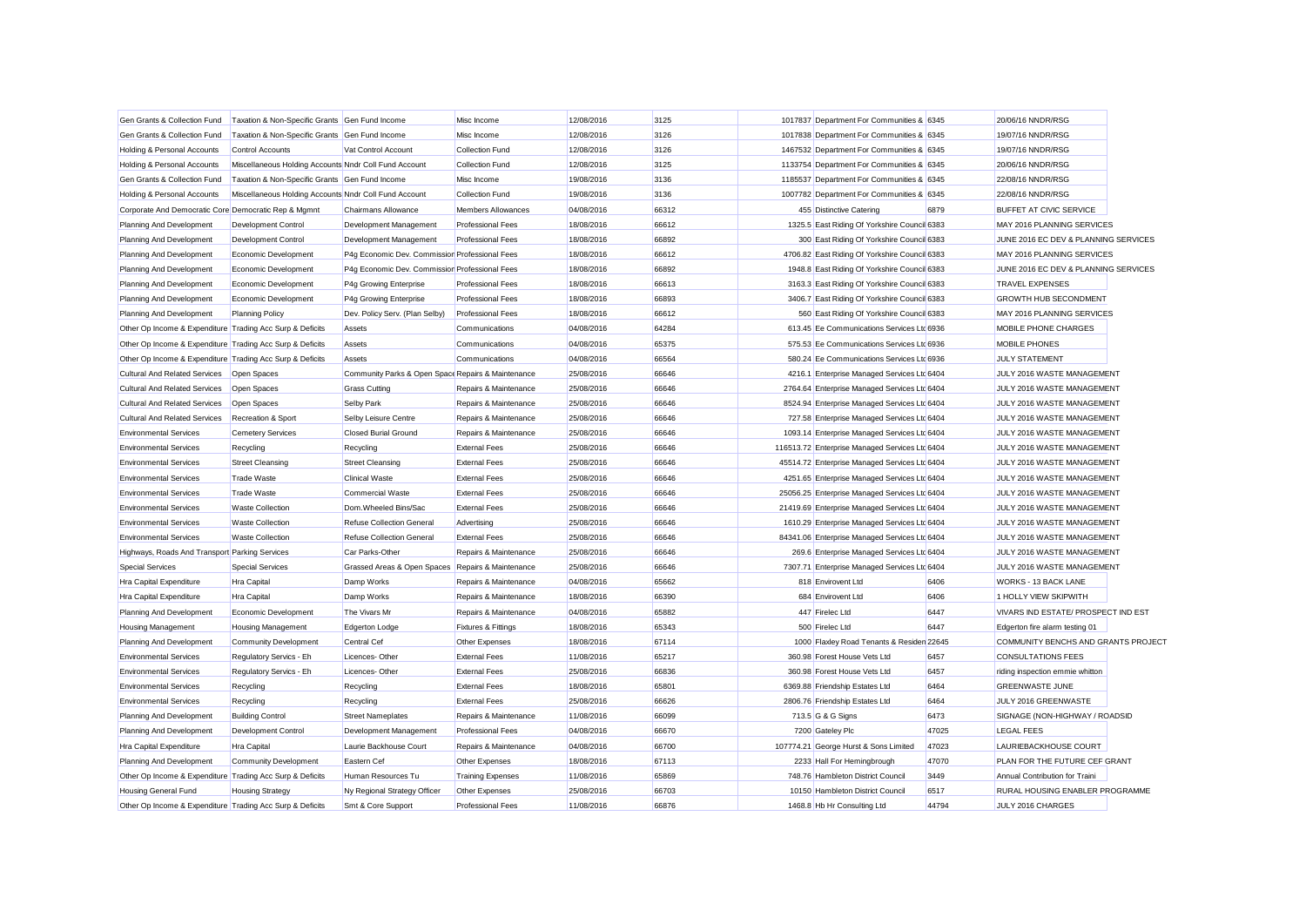| Gen Grants & Collection Fund                              | Taxation & Non-Specific Grants Gen Fund Income        |                                                    | Misc Income                    | 12/08/2016 | 3125  | 1017837 Department For Communities & 6345      |       | 20/06/16 NNDR/RSG                    |  |
|-----------------------------------------------------------|-------------------------------------------------------|----------------------------------------------------|--------------------------------|------------|-------|------------------------------------------------|-------|--------------------------------------|--|
| Gen Grants & Collection Fund                              | Taxation & Non-Specific Grants Gen Fund Income        |                                                    | Misc Income                    | 12/08/2016 | 3126  | 1017838 Department For Communities & 6345      |       | 19/07/16 NNDR/RSG                    |  |
| Holding & Personal Accounts                               | <b>Control Accounts</b>                               | Vat Control Account                                | <b>Collection Fund</b>         | 12/08/2016 | 3126  | 1467532 Department For Communities & 6345      |       | 19/07/16 NNDR/RSG                    |  |
| Holding & Personal Accounts                               | Miscellaneous Holding Accounts Nndr Coll Fund Account |                                                    | <b>Collection Fund</b>         | 12/08/2016 | 3125  | 1133754 Department For Communities & 6345      |       | 20/06/16 NNDR/RSG                    |  |
| Gen Grants & Collection Fund                              | Taxation & Non-Specific Grants Gen Fund Income        |                                                    | Misc Income                    | 19/08/2016 | 3136  | 1185537 Department For Communities & 6345      |       | 22/08/16 NNDR/RSG                    |  |
| Holding & Personal Accounts                               | Miscellaneous Holding Accounts Nndr Coll Fund Account |                                                    | <b>Collection Fund</b>         | 19/08/2016 | 3136  | 1007782 Department For Communities & 6345      |       | 22/08/16 NNDR/RSG                    |  |
| Corporate And Democratic Core Democratic Rep & Mgmnt      |                                                       | Chairmans Allowance                                | <b>Members Allowances</b>      | 04/08/2016 | 66312 | 455 Distinctive Catering                       | 6879  | <b>BUFFET AT CIVIC SERVICE</b>       |  |
| Planning And Development                                  | Development Control                                   | Development Management                             | <b>Professional Fees</b>       | 18/08/2016 | 66612 | 1325.5 East Riding Of Yorkshire Council 6383   |       | MAY 2016 PLANNING SERVICES           |  |
| Planning And Development                                  | <b>Development Control</b>                            | Development Management                             | <b>Professional Fees</b>       | 18/08/2016 | 66892 | 300 East Riding Of Yorkshire Council 6383      |       | JUNE 2016 EC DEV & PLANNING SERVICES |  |
| Planning And Development                                  | Economic Development                                  | P4g Economic Dev. Commission Professional Fees     |                                | 18/08/2016 | 66612 | 4706.82 East Riding Of Yorkshire Council 6383  |       | MAY 2016 PLANNING SERVICES           |  |
| Planning And Development                                  | Economic Development                                  | P4g Economic Dev. Commissior Professional Fees     |                                | 18/08/2016 | 66892 | 1948.8 East Riding Of Yorkshire Council 6383   |       | JUNE 2016 EC DEV & PLANNING SERVICES |  |
| Planning And Development                                  | Economic Development                                  | P4g Growing Enterprise                             | <b>Professional Fees</b>       | 18/08/2016 | 66613 | 3163.3 East Riding Of Yorkshire Council 6383   |       | <b>TRAVEL EXPENSES</b>               |  |
| Planning And Development                                  | Economic Development                                  | P4g Growing Enterprise                             | <b>Professional Fees</b>       | 18/08/2016 | 66893 | 3406.7 East Riding Of Yorkshire Council 6383   |       | <b>GROWTH HUB SECONDMENT</b>         |  |
| Planning And Development                                  | <b>Planning Policy</b>                                | Dev. Policy Serv. (Plan Selby)                     | <b>Professional Fees</b>       | 18/08/2016 | 66612 | 560 East Riding Of Yorkshire Council 6383      |       | MAY 2016 PLANNING SERVICES           |  |
| Other Op Income & Expenditure Trading Acc Surp & Deficits |                                                       | Assets                                             | Communications                 | 04/08/2016 | 64284 | 613.45 Ee Communications Services Ltd 6936     |       | MOBILE PHONE CHARGES                 |  |
| Other Op Income & Expenditure Trading Acc Surp & Deficits |                                                       | Assets                                             | Communications                 | 04/08/2016 | 65375 | 575.53 Ee Communications Services Ltd 6936     |       | MOBILE PHONES                        |  |
| Other Op Income & Expenditure Trading Acc Surp & Deficits |                                                       | Assets                                             | Communications                 | 04/08/2016 | 66564 | 580.24 Ee Communications Services Ltd 6936     |       | <b>JULY STATEMENT</b>                |  |
| <b>Cultural And Related Services</b>                      | Open Spaces                                           | Community Parks & Open Space Repairs & Maintenance |                                | 25/08/2016 | 66646 | 4216.1 Enterprise Managed Services Ltd 6404    |       | JULY 2016 WASTE MANAGEMENT           |  |
| Cultural And Related Services                             | Open Spaces                                           | <b>Grass Cutting</b>                               | Repairs & Maintenance          | 25/08/2016 | 66646 | 2764.64 Enterprise Managed Services Ltc 6404   |       | JULY 2016 WASTE MANAGEMENT           |  |
| <b>Cultural And Related Services</b>                      | Open Spaces                                           | Selby Park                                         | Repairs & Maintenance          | 25/08/2016 | 66646 | 8524.94 Enterprise Managed Services Ltd 6404   |       | JULY 2016 WASTE MANAGEMENT           |  |
| <b>Cultural And Related Services</b>                      | Recreation & Sport                                    | Selby Leisure Centre                               | Repairs & Maintenance          | 25/08/2016 | 66646 | 727.58 Enterprise Managed Services Ltd 6404    |       | JULY 2016 WASTE MANAGEMENT           |  |
| <b>Environmental Services</b>                             | <b>Cemetery Services</b>                              | <b>Closed Burial Ground</b>                        | Repairs & Maintenance          | 25/08/2016 | 66646 | 1093.14 Enterprise Managed Services Ltd 6404   |       | JULY 2016 WASTE MANAGEMENT           |  |
| <b>Environmental Services</b>                             | Recycling                                             | Recycling                                          | <b>External Fees</b>           | 25/08/2016 | 66646 | 116513.72 Enterprise Managed Services Ltd 6404 |       | JULY 2016 WASTE MANAGEMENT           |  |
| <b>Environmental Services</b>                             | <b>Street Cleansing</b>                               | <b>Street Cleansing</b>                            | <b>External Fees</b>           | 25/08/2016 | 66646 | 45514.72 Enterprise Managed Services Ltc 6404  |       | JULY 2016 WASTE MANAGEMENT           |  |
| <b>Environmental Services</b>                             | <b>Trade Waste</b>                                    | <b>Clinical Waste</b>                              | <b>External Fees</b>           | 25/08/2016 | 66646 | 4251.65 Enterprise Managed Services Ltd 6404   |       | JULY 2016 WASTE MANAGEMENT           |  |
| <b>Environmental Services</b>                             | <b>Trade Waste</b>                                    | <b>Commercial Waste</b>                            | <b>External Fees</b>           | 25/08/2016 | 66646 | 25056.25 Enterprise Managed Services Ltd 6404  |       | JULY 2016 WASTE MANAGEMENT           |  |
| <b>Environmental Services</b>                             | <b>Waste Collection</b>                               | Dom.Wheeled Bins/Sac                               | <b>External Fees</b>           | 25/08/2016 | 66646 | 21419.69 Enterprise Managed Services Ltd 6404  |       | JULY 2016 WASTE MANAGEMENT           |  |
| <b>Environmental Services</b>                             | <b>Waste Collection</b>                               | <b>Refuse Collection General</b>                   | Advertising                    | 25/08/2016 | 66646 | 1610.29 Enterprise Managed Services Ltd 6404   |       | JULY 2016 WASTE MANAGEMENT           |  |
| <b>Environmental Services</b>                             | <b>Waste Collection</b>                               | <b>Refuse Collection General</b>                   | <b>External Fees</b>           | 25/08/2016 | 66646 | 84341.06 Enterprise Managed Services Ltd 6404  |       | JULY 2016 WASTE MANAGEMENT           |  |
| Highways, Roads And Transport Parking Services            |                                                       | Car Parks-Other                                    | Repairs & Maintenance          | 25/08/2016 | 66646 | 269.6 Enterprise Managed Services Ltd 6404     |       | JULY 2016 WASTE MANAGEMENT           |  |
| <b>Special Services</b>                                   | <b>Special Services</b>                               | Grassed Areas & Open Spaces Repairs & Maintenance  |                                | 25/08/2016 | 66646 | 7307.71 Enterprise Managed Services Ltd 6404   |       | JULY 2016 WASTE MANAGEMENT           |  |
| <b>Hra Capital Expenditure</b>                            | <b>Hra Capital</b>                                    | Damp Works                                         | Repairs & Maintenance          | 04/08/2016 | 65662 | 818 Envirovent Ltd                             | 6406  | WORKS - 13 BACK LANE                 |  |
| Hra Capital Expenditure                                   | Hra Capital                                           | Damp Works                                         | Repairs & Maintenance          | 18/08/2016 | 66390 | 684 Envirovent Ltd                             | 6406  | 1 HOLLY VIEW SKIPWITH                |  |
| Planning And Development                                  | Economic Development                                  | The Vivars Mr                                      | Repairs & Maintenance          | 04/08/2016 | 65882 | 447 Firelec Ltd                                | 6447  | VIVARS IND ESTATE/ PROSPECT IND EST  |  |
| Housing Management                                        | <b>Housing Management</b>                             | <b>Edgerton Lodge</b>                              | <b>Fixtures &amp; Fittings</b> | 18/08/2016 | 65343 | 500 Firelec Ltd                                | 6447  | Edgerton fire alarm testing 01       |  |
| Planning And Development                                  | <b>Community Development</b>                          | <b>Central Cef</b>                                 | Other Expenses                 | 18/08/2016 | 67114 | 1000 Flaxley Road Tenants & Resider 22645      |       | COMMUNITY BENCHS AND GRANTS PROJECT  |  |
| <b>Environmental Services</b>                             | Regulatory Servics - Eh                               | Licences-Other                                     | <b>External Fees</b>           | 11/08/2016 | 65217 | 360.98 Forest House Vets Ltd                   | 6457  | <b>CONSULTATIONS FEES</b>            |  |
| <b>Environmental Services</b>                             | Regulatory Servics - Eh                               | Licences-Other                                     | <b>External Fees</b>           | 25/08/2016 | 66836 | 360.98 Forest House Vets Ltd                   | 6457  | riding inspection emmie whitton      |  |
| <b>Environmental Services</b>                             | Recycling                                             | Recycling                                          | <b>External Fees</b>           | 18/08/2016 | 65801 | 6369.88 Friendship Estates Ltd                 | 6464  | <b>GREENWASTE JUNE</b>               |  |
| <b>Environmental Services</b>                             | Recycling                                             | Recycling                                          | <b>External Fees</b>           | 25/08/2016 | 66626 | 2806.76 Friendship Estates Ltd                 | 6464  | JULY 2016 GREENWASTE                 |  |
| Planning And Development                                  | <b>Building Control</b>                               | <b>Street Nameplates</b>                           | Repairs & Maintenance          | 11/08/2016 | 66099 | 713.5 G & G Signs                              | 6473  | SIGNAGE (NON-HIGHWAY / ROADSID       |  |
| Planning And Development                                  | <b>Development Control</b>                            | Development Management                             | <b>Professional Fees</b>       | 04/08/2016 | 66670 | 7200 Gateley Plc                               | 47025 | <b>LEGAL FEES</b>                    |  |
| Hra Capital Expenditure                                   | Hra Capital                                           | Laurie Backhouse Court                             | Repairs & Maintenance          | 04/08/2016 | 66700 | 107774.21 George Hurst & Sons Limited          | 47023 | LAURIEBACKHOUSE COURT                |  |
| Planning And Development                                  | <b>Community Development</b>                          | Eastern Cef                                        | Other Expenses                 | 18/08/2016 | 67113 | 2233 Hall For Hemingbrough                     | 47070 | PLAN FOR THE FUTURE CEF GRANT        |  |
| Other Op Income & Expenditure Trading Acc Surp & Deficits |                                                       | Human Resources Tu                                 | <b>Training Expenses</b>       | 11/08/2016 | 65869 | 748.76 Hambleton District Council              | 3449  | Annual Contribution for Traini       |  |
| Housing General Fund                                      | <b>Housing Strategy</b>                               | Ny Regional Strategy Officer                       | Other Expenses                 | 25/08/2016 | 66703 | 10150 Hambleton District Council               | 6517  | RURAL HOUSING ENABLER PROGRAMME      |  |
| Other Op Income & Expenditure Trading Acc Surp & Deficits |                                                       | Smt & Core Support                                 | <b>Professional Fees</b>       | 11/08/2016 | 66876 | 1468.8 Hb Hr Consulting Ltd                    | 44794 | JULY 2016 CHARGES                    |  |
|                                                           |                                                       |                                                    |                                |            |       |                                                |       |                                      |  |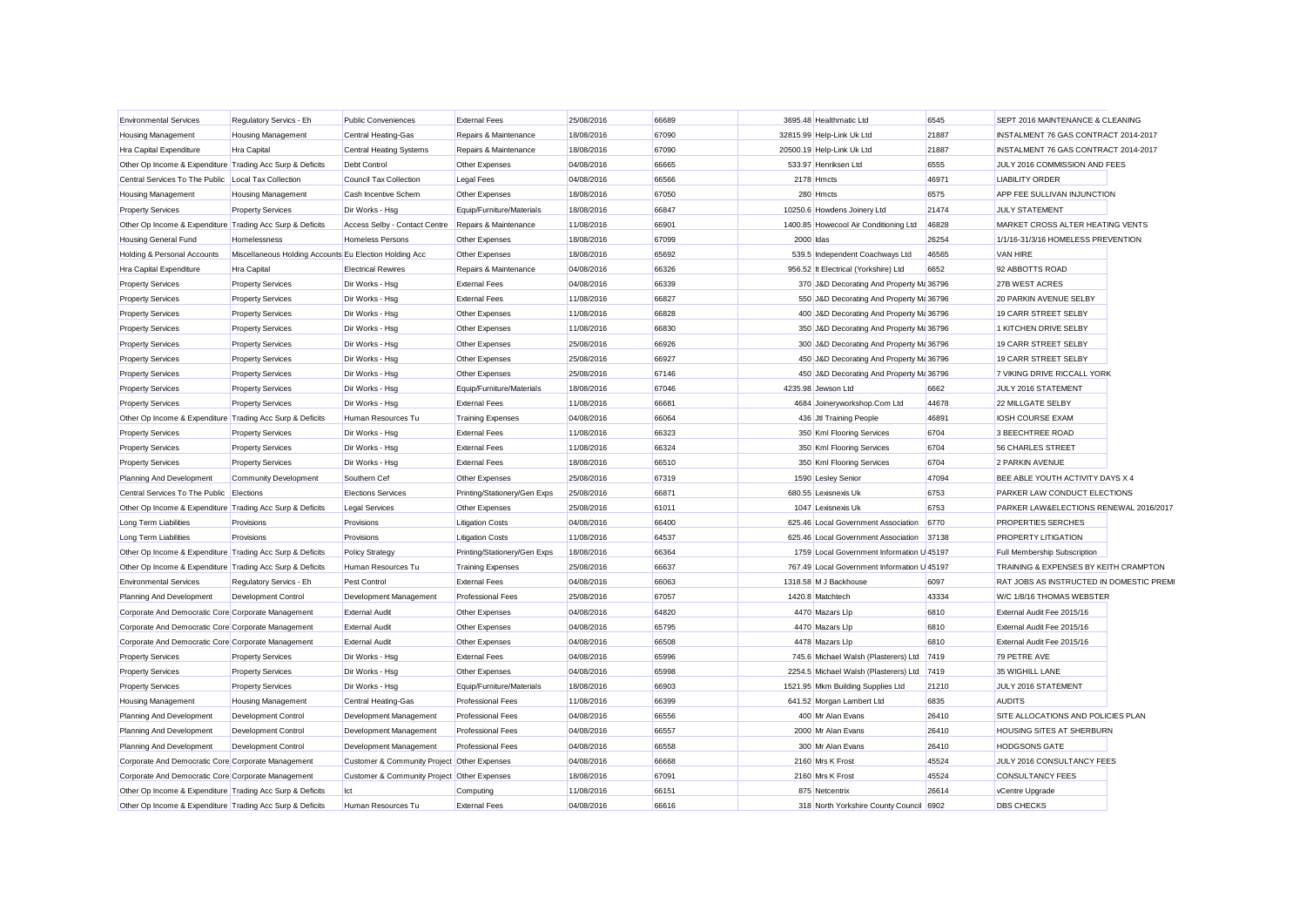| <b>Environmental Services</b>                             | Regulatory Servics - Eh                                | <b>Public Conveniences</b>                          | <b>External Fees</b>         | 25/08/2016 | 66689 |           | 3695.48 Healthmatic Ltd                     | 6545  | SEPT 2016 MAINTENANCE & CLEANING         |  |
|-----------------------------------------------------------|--------------------------------------------------------|-----------------------------------------------------|------------------------------|------------|-------|-----------|---------------------------------------------|-------|------------------------------------------|--|
| Housing Management                                        | <b>Housing Management</b>                              | <b>Central Heating-Gas</b>                          | Repairs & Maintenance        | 18/08/2016 | 67090 |           | 32815.99 Help-Link Uk Ltd                   | 21887 | INSTALMENT 76 GAS CONTRACT 2014-2017     |  |
| Hra Capital Expenditure                                   | <b>Hra Capital</b>                                     | <b>Central Heating Systems</b>                      | Repairs & Maintenance        | 18/08/2016 | 67090 |           | 20500.19 Help-Link Uk Ltd                   | 21887 | INSTALMENT 76 GAS CONTRACT 2014-2017     |  |
| Other Op Income & Expenditure Trading Acc Surp & Deficits |                                                        | <b>Debt Control</b>                                 | Other Expenses               | 04/08/2016 | 66665 |           | 533.97 Henriksen Ltd                        | 6555  | JULY 2016 COMMISSION AND FEES            |  |
| Central Services To The Public Local Tax Collection       |                                                        | Council Tax Collection                              | Legal Fees                   | 04/08/2016 | 66566 |           | 2178 Hmcts                                  | 46971 | <b>LIABILITY ORDER</b>                   |  |
| <b>Housing Management</b>                                 | <b>Housing Management</b>                              | Cash Incentive Schem                                | Other Expenses               | 18/08/2016 | 67050 |           | 280 Hmcts                                   | 6575  | APP FEE SULLIVAN INJUNCTION              |  |
| <b>Property Services</b>                                  | <b>Property Services</b>                               | Dir Works - Hsg                                     | Equip/Furniture/Materials    | 18/08/2016 | 66847 |           | 10250.6 Howdens Joinery Ltd                 | 21474 | <b>JULY STATEMENT</b>                    |  |
| Other Op Income & Expenditure Trading Acc Surp & Deficits |                                                        | Access Selby - Contact Centre Repairs & Maintenance |                              | 11/08/2016 | 66901 |           | 1400.85 Howecool Air Conditioning Ltd       | 46828 | MARKET CROSS ALTER HEATING VENTS         |  |
| Housing General Fund                                      | Homelessness                                           | <b>Homeless Persons</b>                             | Other Expenses               | 18/08/2016 | 67099 | 2000 Idas |                                             | 26254 | 1/1/16-31/3/16 HOMELESS PREVENTION       |  |
| Holding & Personal Accounts                               | Miscellaneous Holding Accounts Eu Election Holding Acc |                                                     | Other Expenses               | 18/08/2016 | 65692 |           | 539.5 Independent Coachways Ltd             | 46565 | <b>VAN HIRE</b>                          |  |
| Hra Capital Expenditure                                   | <b>Hra Capital</b>                                     | <b>Electrical Rewires</b>                           | Repairs & Maintenance        | 04/08/2016 | 66326 |           | 956.52 It Electrical (Yorkshire) Ltd        | 6652  | 92 ABBOTTS ROAD                          |  |
| <b>Property Services</b>                                  | <b>Property Services</b>                               | Dir Works - Hsg                                     | <b>External Fees</b>         | 04/08/2016 | 66339 |           | 370 J&D Decorating And Property Ma 36796    |       | 27B WEST ACRES                           |  |
| <b>Property Services</b>                                  | <b>Property Services</b>                               | Dir Works - Hsg                                     | <b>External Fees</b>         | 11/08/2016 | 66827 |           | 550 J&D Decorating And Property Ma 36796    |       | 20 PARKIN AVENUE SELBY                   |  |
| <b>Property Services</b>                                  | <b>Property Services</b>                               | Dir Works - Hsg                                     | Other Expenses               | 11/08/2016 | 66828 |           | 400 J&D Decorating And Property M: 36796    |       | 19 CARR STREET SELBY                     |  |
| <b>Property Services</b>                                  | <b>Property Services</b>                               | Dir Works - Hsg                                     | Other Expenses               | 11/08/2016 | 66830 |           | 350 J&D Decorating And Property Ma 36796    |       | 1 KITCHEN DRIVE SELBY                    |  |
| <b>Property Services</b>                                  | <b>Property Services</b>                               | Dir Works - Hsg                                     | Other Expenses               | 25/08/2016 | 66926 |           | 300 J&D Decorating And Property M: 36796    |       | 19 CARR STREET SELBY                     |  |
| <b>Property Services</b>                                  | <b>Property Services</b>                               | Dir Works - Hsg                                     | Other Expenses               | 25/08/2016 | 66927 |           | 450 J&D Decorating And Property M: 36796    |       | 19 CARR STREET SELBY                     |  |
| <b>Property Services</b>                                  | <b>Property Services</b>                               | Dir Works - Hsg                                     | Other Expenses               | 25/08/2016 | 67146 |           | 450 J&D Decorating And Property Ma 36796    |       | 7 VIKING DRIVE RICCALL YORK              |  |
| <b>Property Services</b>                                  | <b>Property Services</b>                               | Dir Works - Hsg                                     | Equip/Furniture/Materials    | 18/08/2016 | 67046 |           | 4235.98 Jewson Ltd                          | 6662  | JULY 2016 STATEMENT                      |  |
| <b>Property Services</b>                                  | <b>Property Services</b>                               | Dir Works - Hsg                                     | <b>External Fees</b>         | 11/08/2016 | 66681 |           | 4684 Joineryworkshop.Com Ltd                | 44678 | 22 MILLGATE SELBY                        |  |
| Other Op Income & Expenditure Trading Acc Surp & Deficits |                                                        | Human Resources Tu                                  | <b>Training Expenses</b>     | 04/08/2016 | 66064 |           | 436 Jtl Training People                     | 46891 | <b>IOSH COURSE EXAM</b>                  |  |
| <b>Property Services</b>                                  | <b>Property Services</b>                               | Dir Works - Hsg                                     | <b>External Fees</b>         | 11/08/2016 | 66323 |           | 350 Kml Flooring Services                   | 6704  | 3 BEECHTREE ROAD                         |  |
| <b>Property Services</b>                                  | <b>Property Services</b>                               | Dir Works - Hsg                                     | <b>External Fees</b>         | 11/08/2016 | 66324 |           | 350 Kml Flooring Services                   | 6704  | <b>56 CHARLES STREET</b>                 |  |
| <b>Property Services</b>                                  | <b>Property Services</b>                               | Dir Works - Hsg                                     | <b>External Fees</b>         | 18/08/2016 | 66510 |           | 350 Kml Flooring Services                   | 6704  | 2 PARKIN AVENUE                          |  |
| Planning And Development                                  | <b>Community Development</b>                           | Southern Cef                                        | Other Expenses               | 25/08/2016 | 67319 |           | 1590 Lesley Senior                          | 47094 | BEE ABLE YOUTH ACTIVITY DAYS X 4         |  |
| Central Services To The Public Elections                  |                                                        | <b>Elections Services</b>                           | Printing/Stationery/Gen Exps | 25/08/2016 | 66871 |           | 680.55 Lexisnexis Uk                        | 6753  | PARKER LAW CONDUCT ELECTIONS             |  |
| Other Op Income & Expenditure Trading Acc Surp & Deficits |                                                        | <b>Legal Services</b>                               | Other Expenses               | 25/08/2016 | 61011 |           | 1047 Lexisnexis Uk                          | 6753  | PARKER LAW&ELECTIONS RENEWAL 2016/2017   |  |
| Long Term Liabilities                                     | Provisions                                             | Provisions                                          | <b>Litigation Costs</b>      | 04/08/2016 | 66400 |           | 625.46 Local Government Association         | 6770  | PROPERTIES SERCHES                       |  |
| Long Term Liabilities                                     | Provisions                                             | Provisions                                          | <b>Litigation Costs</b>      | 11/08/2016 | 64537 |           | 625.46 Local Government Association         | 37138 | <b>PROPERTY LITIGATION</b>               |  |
| Other Op Income & Expenditure Trading Acc Surp & Deficits |                                                        | <b>Policy Strategy</b>                              | Printing/Stationery/Gen Exps | 18/08/2016 | 66364 |           | 1759 Local Government Information U 45197   |       | Full Membership Subscription             |  |
| Other Op Income & Expenditure Trading Acc Surp & Deficits |                                                        | Human Resources Tu                                  | <b>Training Expenses</b>     | 25/08/2016 | 66637 |           | 767.49 Local Government Information U 45197 |       | TRAINING & EXPENSES BY KEITH CRAMPTON    |  |
| <b>Environmental Services</b>                             | Regulatory Servics - Eh                                | Pest Control                                        | <b>External Fees</b>         | 04/08/2016 | 66063 |           | 1318.58 M J Backhouse                       | 6097  | RAT JOBS AS INSTRUCTED IN DOMESTIC PREMI |  |
| Planning And Development                                  | Development Control                                    | Development Management                              | <b>Professional Fees</b>     | 25/08/2016 | 67057 |           | 1420.8 Matchtech                            | 43334 | W/C 1/8/16 THOMAS WEBSTER                |  |
| Corporate And Democratic Core Corporate Management        |                                                        | <b>External Audit</b>                               | Other Expenses               | 04/08/2016 | 64820 |           | 4470 Mazars Llp                             | 6810  | External Audit Fee 2015/16               |  |
| Corporate And Democratic Core Corporate Management        |                                                        | <b>External Audit</b>                               | Other Expenses               | 04/08/2016 | 65795 |           | 4470 Mazars Llp                             | 6810  | External Audit Fee 2015/16               |  |
| Corporate And Democratic Core Corporate Management        |                                                        | <b>External Audit</b>                               | Other Expenses               | 04/08/2016 | 66508 |           | 4478 Mazars Llp                             | 6810  | External Audit Fee 2015/16               |  |
| <b>Property Services</b>                                  | <b>Property Services</b>                               | Dir Works - Hsg                                     | <b>External Fees</b>         | 04/08/2016 | 65996 |           | 745.6 Michael Walsh (Plasterers) Ltd 7419   |       | 79 PETRE AVE                             |  |
|                                                           |                                                        | Dir Works - Hsg                                     | Other Expenses               | 04/08/2016 | 65998 |           | 2254.5 Michael Walsh (Plasterers) Ltd       | 7419  | 35 WIGHILL LANE                          |  |
| <b>Property Services</b>                                  | <b>Property Services</b><br><b>Property Services</b>   | Dir Works - Hsg                                     | Equip/Furniture/Materials    | 18/08/2016 | 66903 |           | 1521.95 Mkm Building Supplies Ltd           | 21210 | JULY 2016 STATEMENT                      |  |
| <b>Property Services</b>                                  | <b>Housing Management</b>                              |                                                     | <b>Professional Fees</b>     | 11/08/2016 | 66399 |           | 641.52 Morgan Lambert Ltd                   | 6835  | <b>AUDITS</b>                            |  |
| Housing Management                                        | Development Control                                    | Central Heating-Gas                                 | <b>Professional Fees</b>     | 04/08/2016 | 66556 |           | 400 Mr Alan Evans                           | 26410 | SITE ALLOCATIONS AND POLICIES PLAN       |  |
| Planning And Development                                  |                                                        | Development Management                              |                              |            |       |           |                                             |       |                                          |  |
| Planning And Development                                  | <b>Development Control</b>                             | Development Management                              | <b>Professional Fees</b>     | 04/08/2016 | 66557 |           | 2000 Mr Alan Evans                          | 26410 | <b>HOUSING SITES AT SHERBURN</b>         |  |
| Planning And Development                                  | Development Control                                    | Development Management                              | <b>Professional Fees</b>     | 04/08/2016 | 66558 |           | 300 Mr Alan Evans                           | 26410 | <b>HODGSONS GATE</b>                     |  |
| Corporate And Democratic Core Corporate Management        |                                                        | Customer & Community Project Other Expenses         |                              | 04/08/2016 | 66668 |           | 2160 Mrs K Frost                            | 45524 | JULY 2016 CONSULTANCY FEES               |  |
| Corporate And Democratic Core Corporate Management        |                                                        | Customer & Community Project Other Expenses         |                              | 18/08/2016 | 67091 |           | 2160 Mrs K Frost                            | 45524 | <b>CONSULTANCY FEES</b>                  |  |
| Other Op Income & Expenditure Trading Acc Surp & Deficits |                                                        | Ict                                                 | Computing                    | 11/08/2016 | 66151 |           | 875 Netcentrix                              | 26614 | vCentre Upgrade                          |  |
| Other Op Income & Expenditure Trading Acc Surp & Deficits |                                                        | Human Resources Tu                                  | <b>External Fees</b>         | 04/08/2016 | 66616 |           | 318 North Yorkshire County Council 6902     |       | <b>DBS CHECKS</b>                        |  |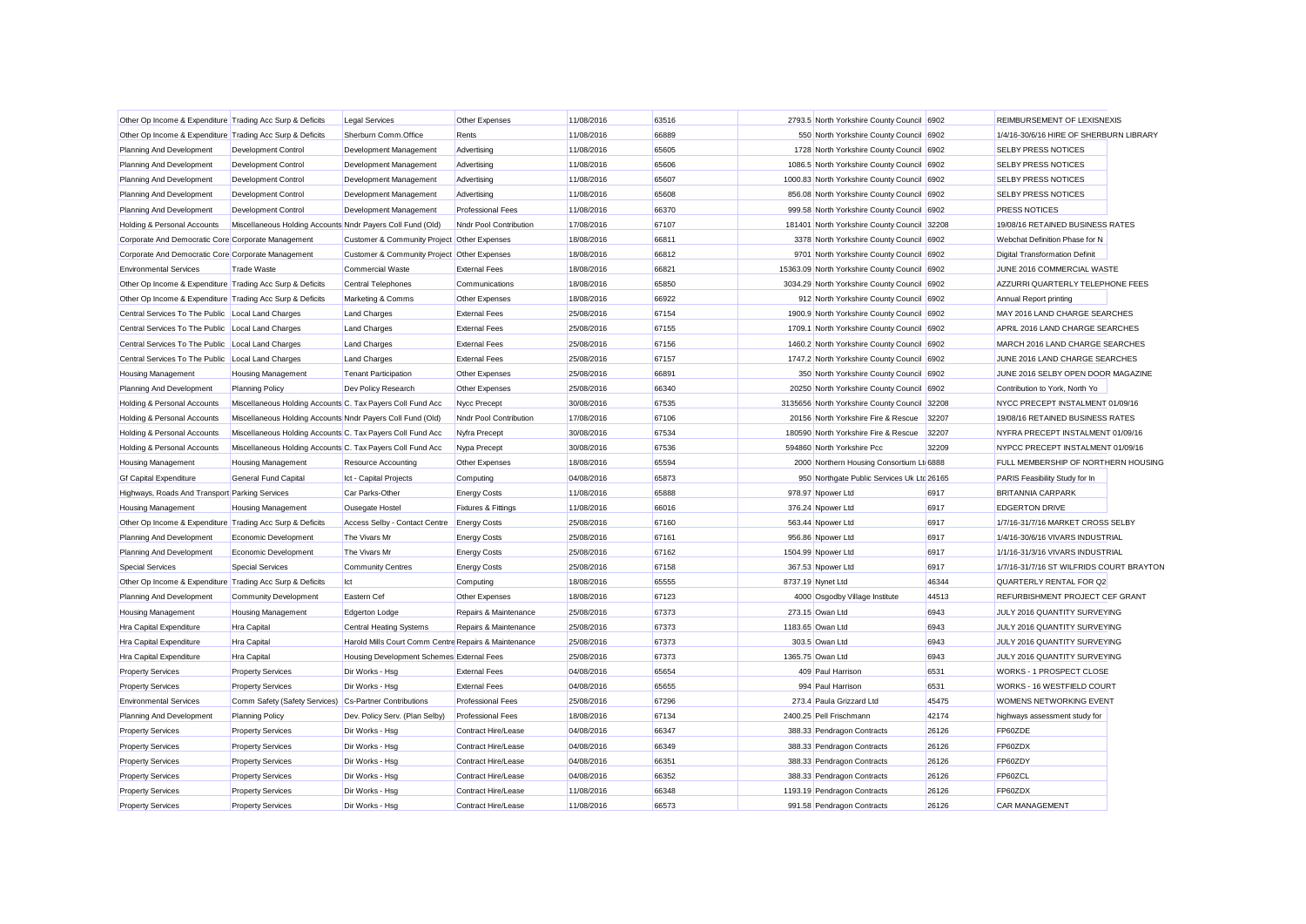| Other Op Income & Expenditure Trading Acc Surp & Deficits |                                                            | <b>Legal Services</b>                                | Other Expenses           | 11/08/2016 | 63516 |                             | 2793.5 North Yorkshire County Council 6902   |       | REIMBURSEMENT OF LEXISNEXIS              |  |
|-----------------------------------------------------------|------------------------------------------------------------|------------------------------------------------------|--------------------------|------------|-------|-----------------------------|----------------------------------------------|-------|------------------------------------------|--|
| Other Op Income & Expenditure Trading Acc Surp & Deficits |                                                            | Sherburn Comm.Office                                 | Rents                    | 11/08/2016 | 66889 |                             | 550 North Yorkshire County Council 6902      |       | 1/4/16-30/6/16 HIRE OF SHERBURN LIBRARY  |  |
| Planning And Development                                  | Development Control                                        | Development Management                               | Advertising              | 11/08/2016 | 65605 |                             | 1728 North Yorkshire County Council 6902     |       | <b>SELBY PRESS NOTICES</b>               |  |
| Planning And Development                                  | Development Control                                        | Development Management                               | Advertising              | 11/08/2016 | 65606 |                             | 1086.5 North Yorkshire County Council 6902   |       | <b>SELBY PRESS NOTICES</b>               |  |
| Planning And Development                                  | Development Control                                        | Development Management                               | Advertising              | 11/08/2016 | 65607 |                             | 1000.83 North Yorkshire County Council 6902  |       | SELBY PRESS NOTICES                      |  |
| Planning And Development                                  | Development Control                                        | Development Management                               | Advertising              | 11/08/2016 | 65608 |                             | 856.08 North Yorkshire County Council 6902   |       | <b>SELBY PRESS NOTICES</b>               |  |
| Planning And Development                                  | Development Control                                        | Development Management                               | <b>Professional Fees</b> | 11/08/2016 | 66370 |                             | 999.58 North Yorkshire County Council 6902   |       | <b>PRESS NOTICES</b>                     |  |
| Holding & Personal Accounts                               | Miscellaneous Holding Accounts Nndr Payers Coll Fund (Old) |                                                      | Nndr Pool Contribution   | 17/08/2016 | 67107 |                             | 181401 North Yorkshire County Council 32208  |       | 19/08/16 RETAINED BUSINESS RATES         |  |
| Corporate And Democratic Core Corporate Management        |                                                            | Customer & Community Project Other Expenses          |                          | 18/08/2016 | 66811 |                             | 3378 North Yorkshire County Council 6902     |       | Webchat Definition Phase for N           |  |
| Corporate And Democratic Core Corporate Management        |                                                            | Customer & Community Project Other Expenses          |                          | 18/08/2016 | 66812 |                             | 9701 North Yorkshire County Council 6902     |       | <b>Digital Transformation Definit</b>    |  |
| <b>Environmental Services</b>                             | <b>Trade Waste</b>                                         | <b>Commercial Waste</b>                              | <b>External Fees</b>     | 18/08/2016 | 66821 |                             | 15363.09 North Yorkshire County Council 6902 |       | JUNE 2016 COMMERCIAL WASTE               |  |
| Other Op Income & Expenditure Trading Acc Surp & Deficits |                                                            | <b>Central Telephones</b>                            | Communications           | 18/08/2016 | 65850 |                             | 3034.29 North Yorkshire County Council 6902  |       | AZZURRI QUARTERLY TELEPHONE FEES         |  |
| Other Op Income & Expenditure Trading Acc Surp & Deficits |                                                            | Marketing & Comms                                    | Other Expenses           | 18/08/2016 | 66922 |                             | 912 North Yorkshire County Council 6902      |       | Annual Report printing                   |  |
| Central Services To The Public Local Land Charges         |                                                            | <b>Land Charges</b>                                  | <b>External Fees</b>     | 25/08/2016 | 67154 |                             | 1900.9 North Yorkshire County Council 6902   |       | MAY 2016 LAND CHARGE SEARCHES            |  |
| Central Services To The Public Local Land Charges         |                                                            | <b>Land Charges</b>                                  | <b>External Fees</b>     | 25/08/2016 | 67155 |                             | 1709.1 North Yorkshire County Council 6902   |       | APRIL 2016 LAND CHARGE SEARCHES          |  |
| Central Services To The Public                            | Local Land Charges                                         | <b>Land Charges</b>                                  | <b>External Fees</b>     | 25/08/2016 | 67156 |                             | 1460.2 North Yorkshire County Council 6902   |       | MARCH 2016 LAND CHARGE SEARCHES          |  |
| Central Services To The Public                            | Local Land Charges                                         | <b>Land Charges</b>                                  | <b>External Fees</b>     | 25/08/2016 | 67157 |                             | 1747.2 North Yorkshire County Council 6902   |       | JUNE 2016 LAND CHARGE SEARCHES           |  |
| <b>Housing Management</b>                                 | <b>Housing Management</b>                                  | <b>Tenant Participation</b>                          | Other Expenses           | 25/08/2016 | 66891 |                             | 350 North Yorkshire County Council 6902      |       | JUNE 2016 SELBY OPEN DOOR MAGAZINE       |  |
| Planning And Development                                  | <b>Planning Policy</b>                                     | Dev Policy Research                                  | Other Expenses           | 25/08/2016 | 66340 |                             | 20250 North Yorkshire County Council 6902    |       | Contribution to York, North Yo           |  |
| Holding & Personal Accounts                               | Miscellaneous Holding Accounts C. Tax Payers Coll Fund Acc |                                                      | Nycc Precept             | 30/08/2016 | 67535 |                             | 3135656 North Yorkshire County Council 32208 |       | NYCC PRECEPT INSTALMENT 01/09/16         |  |
| Holding & Personal Accounts                               | Miscellaneous Holding Accounts Nndr Payers Coll Fund (Old) |                                                      | Nndr Pool Contribution   | 17/08/2016 | 67106 |                             | 20156 North Yorkshire Fire & Rescue          | 32207 | 19/08/16 RETAINED BUSINESS RATES         |  |
| Holding & Personal Accounts                               | Miscellaneous Holding Accounts C. Tax Payers Coll Fund Acc |                                                      | Nyfra Precept            | 30/08/2016 | 67534 |                             | 180590 North Yorkshire Fire & Rescue         | 32207 | NYFRA PRECEPT INSTALMENT 01/09/16        |  |
| Holding & Personal Accounts                               | Miscellaneous Holding Accounts C. Tax Payers Coll Fund Acc |                                                      | Nypa Precept             | 30/08/2016 | 67536 | 594860 North Yorkshire Pcc  |                                              | 32209 | NYPCC PRECEPT INSTALMENT 01/09/16        |  |
| <b>Housing Management</b>                                 | <b>Housing Management</b>                                  | <b>Resource Accounting</b>                           | Other Expenses           | 18/08/2016 | 65594 |                             | 2000 Northern Housing Consortium Lt 6888     |       | FULL MEMBERSHIP OF NORTHERN HOUSING      |  |
| <b>Gf Capital Expenditure</b>                             | General Fund Capital                                       | Ict - Capital Projects                               | Computing                | 04/08/2016 | 65873 |                             | 950 Northgate Public Services Uk Ltd 26165   |       | PARIS Feasibility Study for In           |  |
| Highways, Roads And Transport Parking Services            |                                                            | Car Parks-Other                                      | <b>Energy Costs</b>      | 11/08/2016 | 65888 | 978.97 Npower Ltd           |                                              | 6917  | <b>BRITANNIA CARPARK</b>                 |  |
| Housing Management                                        | <b>Housing Management</b>                                  | Ousegate Hostel                                      | Fixtures & Fittings      | 11/08/2016 | 66016 | 376.24 Npower Ltd           |                                              | 6917  | <b>EDGERTON DRIVE</b>                    |  |
| Other Op Income & Expenditure Trading Acc Surp & Deficits |                                                            | Access Selby - Contact Centre                        | <b>Energy Costs</b>      | 25/08/2016 | 67160 | 563.44 Npower Ltd           |                                              | 6917  | 1/7/16-31/7/16 MARKET CROSS SELBY        |  |
| Planning And Development                                  | Economic Development                                       | The Vivars Mr                                        | <b>Energy Costs</b>      | 25/08/2016 | 67161 | 956.86 Npower Ltd           |                                              | 6917  | 1/4/16-30/6/16 VIVARS INDUSTRIAL         |  |
| Planning And Development                                  | Economic Development                                       | The Vivars Mr                                        | <b>Energy Costs</b>      | 25/08/2016 | 67162 | 1504.99 Npower Ltd          |                                              | 6917  | 1/1/16-31/3/16 VIVARS INDUSTRIAL         |  |
| <b>Special Services</b>                                   | <b>Special Services</b>                                    | <b>Community Centres</b>                             | <b>Energy Costs</b>      | 25/08/2016 | 67158 | 367.53 Npower Ltd           |                                              | 6917  | 1/7/16-31/7/16 ST WILFRIDS COURT BRAYTON |  |
| Other Op Income & Expenditure Trading Acc Surp & Deficits |                                                            | Ict                                                  | Computing                | 18/08/2016 | 65555 | 8737.19 Nynet Ltd           |                                              | 46344 | QUARTERLY RENTAL FOR Q2                  |  |
| Planning And Development                                  | <b>Community Development</b>                               | Eastern Cef                                          | Other Expenses           | 18/08/2016 | 67123 |                             | 4000 Osgodby Village Institute               | 44513 | REFURBISHMENT PROJECT CEF GRANT          |  |
| <b>Housing Management</b>                                 | <b>Housing Management</b>                                  | Edgerton Lodge                                       | Repairs & Maintenance    | 25/08/2016 | 67373 | 273.15 Owan Ltd             |                                              | 6943  | JULY 2016 QUANTITY SURVEYING             |  |
| Hra Capital Expenditure                                   | <b>Hra Capital</b>                                         | <b>Central Heating Systems</b>                       | Repairs & Maintenance    | 25/08/2016 | 67373 | 1183.65 Owan Ltd            |                                              | 6943  | JULY 2016 QUANTITY SURVEYING             |  |
| Hra Capital Expenditure                                   | Hra Capital                                                | Harold Mills Court Comm Centre Repairs & Maintenance |                          | 25/08/2016 | 67373 | 303.5 Owan Ltd              |                                              | 6943  | JULY 2016 QUANTITY SURVEYING             |  |
| <b>Hra Capital Expenditure</b>                            | Hra Capital                                                | Housing Development Schemes External Fees            |                          | 25/08/2016 | 67373 | 1365.75 Owan Ltd            |                                              | 6943  | JULY 2016 QUANTITY SURVEYING             |  |
| <b>Property Services</b>                                  | <b>Property Services</b>                                   | Dir Works - Hsg                                      | <b>External Fees</b>     | 04/08/2016 | 65654 | 409 Paul Harrison           |                                              | 6531  | WORKS - 1 PROSPECT CLOSE                 |  |
| <b>Property Services</b>                                  | <b>Property Services</b>                                   | Dir Works - Hsg                                      | <b>External Fees</b>     | 04/08/2016 | 65655 | 994 Paul Harrison           |                                              | 6531  | WORKS - 16 WESTFIELD COURT               |  |
| <b>Environmental Services</b>                             | Comm Safety (Safety Services) Cs-Partner Contributions     |                                                      | <b>Professional Fees</b> | 25/08/2016 | 67296 |                             | 273.4 Paula Grizzard Ltd                     | 45475 | WOMENS NETWORKING EVENT                  |  |
| Planning And Development                                  | <b>Planning Policy</b>                                     | Dev. Policy Serv. (Plan Selby)                       | <b>Professional Fees</b> | 18/08/2016 | 67134 | 2400.25 Pell Frischmann     |                                              | 42174 | highways assessment study for            |  |
| <b>Property Services</b>                                  | <b>Property Services</b>                                   | Dir Works - Hsg                                      | Contract Hire/Lease      | 04/08/2016 | 66347 |                             | 388.33 Pendragon Contracts                   | 26126 | FP60ZDE                                  |  |
| <b>Property Services</b>                                  | <b>Property Services</b>                                   | Dir Works - Hsg                                      | Contract Hire/Lease      | 04/08/2016 | 66349 |                             | 388.33 Pendragon Contracts                   | 26126 | FP60ZDX                                  |  |
| <b>Property Services</b>                                  | <b>Property Services</b>                                   | Dir Works - Hsg                                      | Contract Hire/Lease      | 04/08/2016 | 66351 |                             | 388.33 Pendragon Contracts                   | 26126 | FP60ZDY                                  |  |
| <b>Property Services</b>                                  | <b>Property Services</b>                                   | Dir Works - Hsg                                      | Contract Hire/Lease      | 04/08/2016 | 66352 |                             | 388.33 Pendragon Contracts                   | 26126 | FP60ZCL                                  |  |
| <b>Property Services</b>                                  | <b>Property Services</b>                                   | Dir Works - Hsa                                      | Contract Hire/Lease      | 11/08/2016 | 66348 | 1193.19 Pendragon Contracts |                                              | 26126 | FP60ZDX                                  |  |
| <b>Property Services</b>                                  | <b>Property Services</b>                                   | Dir Works - Hsa                                      | Contract Hire/Lease      | 11/08/2016 | 66573 |                             | 991.58 Pendragon Contracts                   | 26126 | <b>CAR MANAGEMENT</b>                    |  |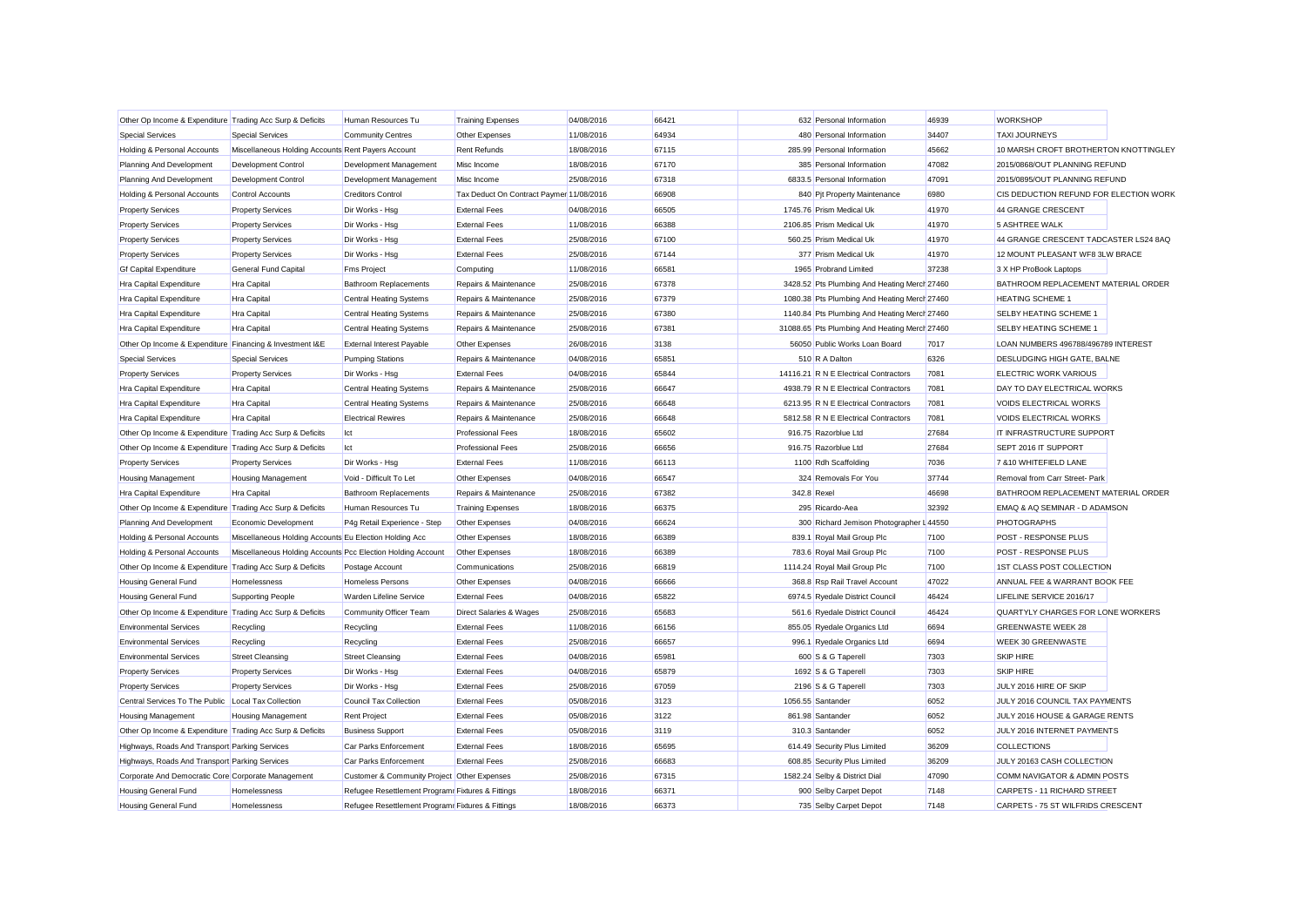| Other Op Income & Expenditure Trading Acc Surp & Deficits |                                                             | Human Resources Tu                                | <b>Training Expenses</b>                 | 04/08/2016 | 66421 |             | 632 Personal Information                      | 46939 | <b>WORKSHOP</b>                        |  |
|-----------------------------------------------------------|-------------------------------------------------------------|---------------------------------------------------|------------------------------------------|------------|-------|-------------|-----------------------------------------------|-------|----------------------------------------|--|
| <b>Special Services</b>                                   | <b>Special Services</b>                                     | <b>Community Centres</b>                          | Other Expenses                           | 11/08/2016 | 64934 |             | 480 Personal Information                      | 34407 | <b>TAXI JOURNEYS</b>                   |  |
| Holding & Personal Accounts                               | Miscellaneous Holding Accounts Rent Payers Account          |                                                   | <b>Rent Refunds</b>                      | 18/08/2016 | 67115 |             | 285.99 Personal Information                   | 45662 | 10 MARSH CROFT BROTHERTON KNOTTINGLEY  |  |
| Planning And Development                                  | Development Control                                         | Development Management                            | Misc Income                              | 18/08/2016 | 67170 |             | 385 Personal Information                      | 47082 | 2015/0868/OUT PLANNING REFUND          |  |
| Planning And Development                                  | Development Control                                         | Development Management                            | Misc Income                              | 25/08/2016 | 67318 |             | 6833.5 Personal Information                   | 47091 | 2015/0895/OUT PLANNING REFUND          |  |
| Holding & Personal Accounts                               | Control Accounts                                            | <b>Creditors Control</b>                          | Tax Deduct On Contract Paymer 11/08/2016 |            | 66908 |             | 840 Pit Property Maintenance                  | 6980  | CIS DEDUCTION REFUND FOR ELECTION WORK |  |
| <b>Property Services</b>                                  | <b>Property Services</b>                                    | Dir Works - Hsg                                   | <b>External Fees</b>                     | 04/08/2016 | 66505 |             | 1745.76 Prism Medical Uk                      | 41970 | 44 GRANGE CRESCENT                     |  |
| <b>Property Services</b>                                  | <b>Property Services</b>                                    | Dir Works - Hsg                                   | <b>External Fees</b>                     | 11/08/2016 | 66388 |             | 2106.85 Prism Medical Uk                      | 41970 | <b>5 ASHTREE WALK</b>                  |  |
| <b>Property Services</b>                                  | <b>Property Services</b>                                    | Dir Works - Hsg                                   | <b>External Fees</b>                     | 25/08/2016 | 67100 |             | 560.25 Prism Medical Uk                       | 41970 | 44 GRANGE CRESCENT TADCASTER LS24 8AQ  |  |
| <b>Property Services</b>                                  | <b>Property Services</b>                                    | Dir Works - Hsg                                   | <b>External Fees</b>                     | 25/08/2016 | 67144 |             | 377 Prism Medical Uk                          | 41970 | 12 MOUNT PLEASANT WF8 3LW BRACE        |  |
| <b>Gf Capital Expenditure</b>                             | General Fund Capital                                        | <b>Fms Project</b>                                | Computing                                | 11/08/2016 | 66581 |             | 1965 Probrand Limited                         | 37238 | 3 X HP ProBook Laptops                 |  |
| Hra Capital Expenditure                                   | Hra Capital                                                 | <b>Bathroom Replacements</b>                      | Repairs & Maintenance                    | 25/08/2016 | 67378 |             | 3428.52 Pts Plumbing And Heating Merch 27460  |       | BATHROOM REPLACEMENT MATERIAL ORDER    |  |
| Hra Capital Expenditure                                   | Hra Capital                                                 | <b>Central Heating Systems</b>                    | Repairs & Maintenance                    | 25/08/2016 | 67379 |             | 1080.38 Pts Plumbing And Heating Merch 27460  |       | <b>HEATING SCHEME 1</b>                |  |
| Hra Capital Expenditure                                   | Hra Capital                                                 | <b>Central Heating Systems</b>                    | Repairs & Maintenance                    | 25/08/2016 | 67380 |             | 1140.84 Pts Plumbing And Heating Merch 27460  |       | SELBY HEATING SCHEME 1                 |  |
| Hra Capital Expenditure                                   | Hra Capital                                                 | <b>Central Heating Systems</b>                    | Repairs & Maintenance                    | 25/08/2016 | 67381 |             | 31088.65 Pts Plumbing And Heating Merch 27460 |       | SELBY HEATING SCHEME 1                 |  |
| Other Op Income & Expenditure Financing & Investment I&E  |                                                             | <b>External Interest Payable</b>                  | Other Expenses                           | 26/08/2016 | 3138  |             | 56050 Public Works Loan Board                 | 7017  | LOAN NUMBERS 496788/496789 INTEREST    |  |
| <b>Special Services</b>                                   | <b>Special Services</b>                                     | <b>Pumping Stations</b>                           | Repairs & Maintenance                    | 04/08/2016 | 65851 |             | 510 R A Dalton                                | 6326  | DESLUDGING HIGH GATE, BALNE            |  |
| <b>Property Services</b>                                  | <b>Property Services</b>                                    | Dir Works - Hsg                                   | <b>External Fees</b>                     | 04/08/2016 | 65844 |             | 14116.21 R N E Electrical Contractors         | 7081  | ELECTRIC WORK VARIOUS                  |  |
| Hra Capital Expenditure                                   | <b>Hra Capital</b>                                          | <b>Central Heating Systems</b>                    | Repairs & Maintenance                    | 25/08/2016 | 66647 |             | 4938.79 R N E Electrical Contractors          | 7081  | DAY TO DAY ELECTRICAL WORKS            |  |
| Hra Capital Expenditure                                   | <b>Hra Capital</b>                                          | <b>Central Heating Systems</b>                    | Repairs & Maintenance                    | 25/08/2016 | 66648 |             | 6213.95 R N E Electrical Contractors          | 7081  | VOIDS ELECTRICAL WORKS                 |  |
| Hra Capital Expenditure                                   | Hra Capital                                                 | <b>Electrical Rewires</b>                         | Repairs & Maintenance                    | 25/08/2016 | 66648 |             | 5812.58 R N E Electrical Contractors          | 7081  | VOIDS ELECTRICAL WORKS                 |  |
| Other Op Income & Expenditure Trading Acc Surp & Deficits |                                                             | Ict                                               | <b>Professional Fees</b>                 | 18/08/2016 | 65602 |             | 916.75 Razorblue Ltd                          | 27684 | IT INFRASTRUCTURE SUPPORT              |  |
| Other Op Income & Expenditure Trading Acc Surp & Deficits |                                                             | Ict                                               | <b>Professional Fees</b>                 | 25/08/2016 | 66656 |             | 916.75 Razorblue Ltd                          | 27684 | SEPT 2016 IT SUPPORT                   |  |
| <b>Property Services</b>                                  | <b>Property Services</b>                                    | Dir Works - Hsg                                   | <b>External Fees</b>                     | 11/08/2016 | 66113 |             | 1100 Rdh Scaffolding                          | 7036  | 7 & 10 WHITEFIELD LANE                 |  |
| <b>Housing Management</b>                                 | <b>Housing Management</b>                                   | Void - Difficult To Let                           | Other Expenses                           | 04/08/2016 | 66547 |             | 324 Removals For You                          | 37744 | Removal from Carr Street- Park         |  |
| Hra Capital Expenditure                                   | <b>Hra Capital</b>                                          | <b>Bathroom Replacements</b>                      | Repairs & Maintenance                    | 25/08/2016 | 67382 | 342.8 Rexel |                                               | 46698 | BATHROOM REPLACEMENT MATERIAL ORDER    |  |
| Other Op Income & Expenditure Trading Acc Surp & Deficits |                                                             | Human Resources Tu                                | <b>Training Expenses</b>                 | 18/08/2016 | 66375 |             | 295 Ricardo-Aea                               | 32392 | EMAQ & AQ SEMINAR - D ADAMSON          |  |
| Planning And Development                                  | Economic Development                                        | P4g Retail Experience - Step                      | Other Expenses                           | 04/08/2016 | 66624 |             | 300 Richard Jemison Photographer I 44550      |       | <b>PHOTOGRAPHS</b>                     |  |
| Holding & Personal Accounts                               | Miscellaneous Holding Accounts Eu Election Holding Acc      |                                                   | Other Expenses                           | 18/08/2016 | 66389 |             | 839.1 Royal Mail Group Plc                    | 7100  | POST - RESPONSE PLUS                   |  |
| Holding & Personal Accounts                               | Miscellaneous Holding Accounts Pcc Election Holding Account |                                                   | Other Expenses                           | 18/08/2016 | 66389 |             | 783.6 Royal Mail Group Plc                    | 7100  | POST - RESPONSE PLUS                   |  |
| Other Op Income & Expenditure Trading Acc Surp & Deficits |                                                             | Postage Account                                   | Communications                           | 25/08/2016 | 66819 |             | 1114.24 Royal Mail Group Plc                  | 7100  | 1ST CLASS POST COLLECTION              |  |
| Housing General Fund                                      | Homelessness                                                | Homeless Persons                                  | Other Expenses                           | 04/08/2016 | 66666 |             | 368.8 Rsp Rail Travel Account                 | 47022 | ANNUAL FEE & WARRANT BOOK FEE          |  |
| Housing General Fund                                      | <b>Supporting People</b>                                    | Warden Lifeline Service                           | <b>External Fees</b>                     | 04/08/2016 | 65822 |             | 6974.5 Ryedale District Council               | 46424 | LIFELINE SERVICE 2016/17               |  |
| Other Op Income & Expenditure Trading Acc Surp & Deficits |                                                             | Community Officer Team                            | Direct Salaries & Wages                  | 25/08/2016 | 65683 |             | 561.6 Ryedale District Council                | 46424 | QUARTYLY CHARGES FOR LONE WORKERS      |  |
| <b>Environmental Services</b>                             | Recycling                                                   | Recycling                                         | <b>External Fees</b>                     | 11/08/2016 | 66156 |             | 855.05 Ryedale Organics Ltd                   | 6694  | <b>GREENWASTE WEEK 28</b>              |  |
| <b>Environmental Services</b>                             | Recycling                                                   | Recycling                                         | <b>External Fees</b>                     | 25/08/2016 | 66657 |             | 996.1 Ryedale Organics Ltd                    | 6694  | <b>WEEK 30 GREENWASTE</b>              |  |
| <b>Environmental Services</b>                             | <b>Street Cleansing</b>                                     | <b>Street Cleansing</b>                           | <b>External Fees</b>                     | 04/08/2016 | 65981 |             | 600 S & G Taperell                            | 7303  | <b>SKIP HIRE</b>                       |  |
| <b>Property Services</b>                                  | <b>Property Services</b>                                    | Dir Works - Hsg                                   | <b>External Fees</b>                     | 04/08/2016 | 65879 |             | 1692 S & G Taperell                           | 7303  | <b>SKIP HIRE</b>                       |  |
| <b>Property Services</b>                                  | <b>Property Services</b>                                    | Dir Works - Hsg                                   | <b>External Fees</b>                     | 25/08/2016 | 67059 |             | 2196 S & G Taperell                           | 7303  | JULY 2016 HIRE OF SKIP                 |  |
| Central Services To The Public Local Tax Collection       |                                                             | Council Tax Collection                            | <b>External Fees</b>                     | 05/08/2016 | 3123  |             | 1056.55 Santander                             | 6052  | JULY 2016 COUNCIL TAX PAYMENTS         |  |
| <b>Housing Management</b>                                 | <b>Housing Management</b>                                   | <b>Rent Project</b>                               | <b>External Fees</b>                     | 05/08/2016 | 3122  |             | 861.98 Santander                              | 6052  | JULY 2016 HOUSE & GARAGE RENTS         |  |
| Other Op Income & Expenditure Trading Acc Surp & Deficits |                                                             | <b>Business Support</b>                           | <b>External Fees</b>                     | 05/08/2016 | 3119  |             | 310.3 Santander                               | 6052  | JULY 2016 INTERNET PAYMENTS            |  |
| Highways, Roads And Transport Parking Services            |                                                             | Car Parks Enforcement                             | <b>External Fees</b>                     | 18/08/2016 | 65695 |             | 614.49 Security Plus Limited                  | 36209 | <b>COLLECTIONS</b>                     |  |
| Highways, Roads And Transport Parking Services            |                                                             | Car Parks Enforcement                             | <b>External Fees</b>                     | 25/08/2016 | 66683 |             | 608.85 Security Plus Limited                  | 36209 | JULY 20163 CASH COLLECTION             |  |
| Corporate And Democratic Core Corporate Management        |                                                             | Customer & Community Project Other Expenses       |                                          | 25/08/2016 | 67315 |             | 1582.24 Selby & District Dial                 | 47090 | COMM NAVIGATOR & ADMIN POSTS           |  |
| Housing General Fund                                      | Homelessness                                                | Refugee Resettlement Program Fixtures & Fittings  |                                          | 18/08/2016 | 66371 |             | 900 Selby Carpet Depot                        | 7148  | CARPETS - 11 RICHARD STREET            |  |
| <b>Housing General Fund</b>                               | Homelessness                                                | Refugee Resettlement Programr Fixtures & Fittings |                                          | 18/08/2016 | 66373 |             | 735 Selby Carpet Depot                        | 7148  | CARPETS - 75 ST WILFRIDS CRESCENT      |  |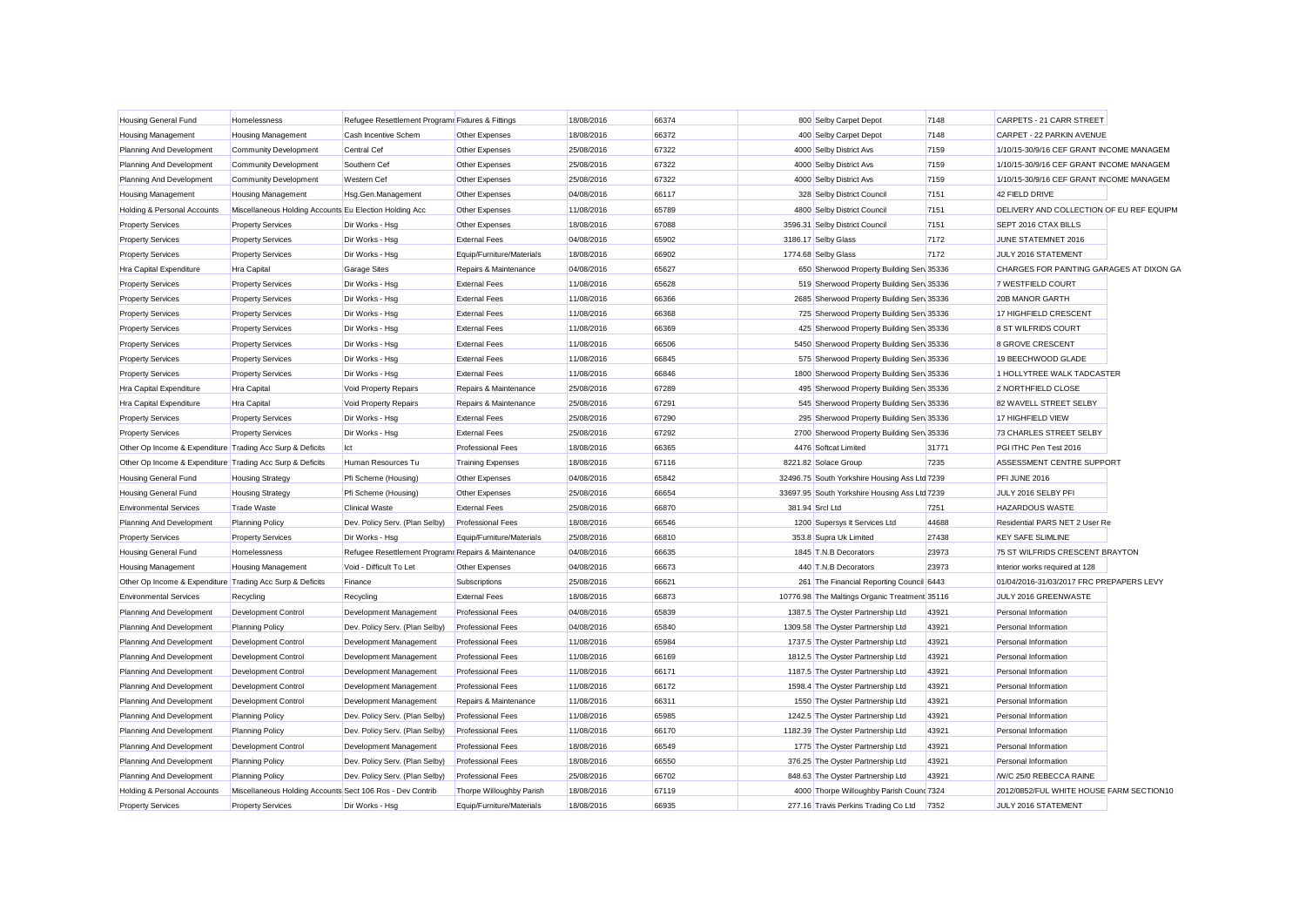| Housing General Fund                                      | Homelessness                                              | Refugee Resettlement Programr Fixtures & Fittings   |                           | 18/08/2016 | 66374 | 800 Selby Carpet Depot                        | 7148  | CARPETS - 21 CARR STREET                 |
|-----------------------------------------------------------|-----------------------------------------------------------|-----------------------------------------------------|---------------------------|------------|-------|-----------------------------------------------|-------|------------------------------------------|
| Housing Management                                        | <b>Housing Management</b>                                 | Cash Incentive Schem                                | Other Expenses            | 18/08/2016 | 66372 | 400 Selby Carpet Depot                        | 7148  | CARPET - 22 PARKIN AVENUE                |
| Planning And Development                                  | <b>Community Development</b>                              | Central Cef                                         | Other Expenses            | 25/08/2016 | 67322 | 4000 Selby District Avs                       | 7159  | 1/10/15-30/9/16 CEF GRANT INCOME MANAGEM |
| Planning And Development                                  | <b>Community Development</b>                              | Southern Cef                                        | Other Expenses            | 25/08/2016 | 67322 | 4000 Selby District Avs                       | 7159  | 1/10/15-30/9/16 CEF GRANT INCOME MANAGEM |
| Planning And Development                                  | <b>Community Development</b>                              | <b>Western Cef</b>                                  | Other Expenses            | 25/08/2016 | 67322 | 4000 Selby District Avs                       | 7159  | 1/10/15-30/9/16 CEF GRANT INCOME MANAGEM |
| <b>Housing Management</b>                                 | <b>Housing Management</b>                                 | Hsg.Gen.Management                                  | Other Expenses            | 04/08/2016 | 66117 | 328 Selby District Council                    | 7151  | 42 FIELD DRIVE                           |
| Holding & Personal Accounts                               | Miscellaneous Holding Accounts Eu Election Holding Acc    |                                                     | Other Expenses            | 11/08/2016 | 65789 | 4800 Selby District Counci                    | 7151  | DELIVERY AND COLLECTION OF EU REF EQUIPM |
| <b>Property Services</b>                                  | <b>Property Services</b>                                  | Dir Works - Hsg                                     | Other Expenses            | 18/08/2016 | 67088 | 3596.31 Selby District Council                | 7151  | SEPT 2016 CTAX BILLS                     |
| <b>Property Services</b>                                  | <b>Property Services</b>                                  | Dir Works - Hsg                                     | <b>External Fees</b>      | 04/08/2016 | 65902 | 3186.17 Selby Glass                           | 7172  | JUNE STATEMNET 2016                      |
| <b>Property Services</b>                                  | <b>Property Services</b>                                  | Dir Works - Hsg                                     | Equip/Furniture/Materials | 18/08/2016 | 66902 | 1774.68 Selby Glass                           | 7172  | JULY 2016 STATEMENT                      |
| Hra Capital Expenditure                                   | <b>Hra Capital</b>                                        | <b>Garage Sites</b>                                 | Repairs & Maintenance     | 04/08/2016 | 65627 | 650 Sherwood Property Building Sen 35336      |       | CHARGES FOR PAINTING GARAGES AT DIXON GA |
| <b>Property Services</b>                                  | <b>Property Services</b>                                  | Dir Works - Hsg                                     | <b>External Fees</b>      | 11/08/2016 | 65628 | 519 Sherwood Property Building Serv 35336     |       | 7 WESTFIELD COURT                        |
| <b>Property Services</b>                                  | <b>Property Services</b>                                  | Dir Works - Hsg                                     | <b>External Fees</b>      | 11/08/2016 | 66366 | 2685 Sherwood Property Building Serv 35336    |       | 20B MANOR GARTH                          |
| <b>Property Services</b>                                  | <b>Property Services</b>                                  | Dir Works - Hsg                                     | <b>External Fees</b>      | 11/08/2016 | 66368 | 725 Sherwood Property Building Serv 35336     |       | 17 HIGHFIELD CRESCENT                    |
| <b>Property Services</b>                                  | <b>Property Services</b>                                  | Dir Works - Hsg                                     | <b>External Fees</b>      | 11/08/2016 | 66369 | 425 Sherwood Property Building Serv 35336     |       | 8 ST WILFRIDS COURT                      |
| <b>Property Services</b>                                  | <b>Property Services</b>                                  | Dir Works - Hsg                                     | <b>External Fees</b>      | 11/08/2016 | 66506 | 5450 Sherwood Property Building Serv 35336    |       | 8 GROVE CRESCENT                         |
| <b>Property Services</b>                                  | <b>Property Services</b>                                  | Dir Works - Hsg                                     | <b>External Fees</b>      | 11/08/2016 | 66845 | 575 Sherwood Property Building Serv 35336     |       | 19 BEECHWOOD GLADE                       |
| <b>Property Services</b>                                  | <b>Property Services</b>                                  | Dir Works - Hsg                                     | <b>External Fees</b>      | 11/08/2016 | 66846 | 1800 Sherwood Property Building Serv 35336    |       | 1 HOLLYTREE WALK TADCASTER               |
| Hra Capital Expenditure                                   | <b>Hra Capital</b>                                        | Void Property Repairs                               | Repairs & Maintenance     | 25/08/2016 | 67289 | 495 Sherwood Property Building Sen 35336      |       | 2 NORTHFIELD CLOSE                       |
| Hra Capital Expenditure                                   | Hra Capital                                               | Void Property Repairs                               | Repairs & Maintenance     | 25/08/2016 | 67291 | 545 Sherwood Property Building Serv 35336     |       | 82 WAVELL STREET SELBY                   |
| <b>Property Services</b>                                  | <b>Property Services</b>                                  | Dir Works - Hsg                                     | <b>External Fees</b>      | 25/08/2016 | 67290 | 295 Sherwood Property Building Serv 35336     |       | 17 HIGHFIELD VIEW                        |
| <b>Property Services</b>                                  | <b>Property Services</b>                                  | Dir Works - Hsg                                     | <b>External Fees</b>      | 25/08/2016 | 67292 | 2700 Sherwood Property Building Serv 35336    |       | 73 CHARLES STREET SELBY                  |
| Other Op Income & Expenditure Trading Acc Surp & Deficits |                                                           | Ict                                                 | <b>Professional Fees</b>  | 18/08/2016 | 66365 | 4476 Softcat Limited                          | 31771 | PGI ITHC Pen Test 2016                   |
| Other Op Income & Expenditure Trading Acc Surp & Deficits |                                                           | Human Resources Tu                                  | <b>Training Expenses</b>  | 18/08/2016 | 67116 | 8221.82 Solace Group                          | 7235  | ASSESSMENT CENTRE SUPPORT                |
| Housing General Fund                                      | <b>Housing Strategy</b>                                   | Pfi Scheme (Housing)                                | Other Expenses            | 04/08/2016 | 65842 | 32496.75 South Yorkshire Housing Ass Ltd 7239 |       | PFI JUNE 2016                            |
| Housing General Fund                                      | <b>Housing Strategy</b>                                   | Pfi Scheme (Housing)                                | Other Expenses            | 25/08/2016 | 66654 | 33697.95 South Yorkshire Housing Ass Ltd 7239 |       | JULY 2016 SELBY PFI                      |
| <b>Environmental Services</b>                             | <b>Trade Waste</b>                                        | <b>Clinical Waste</b>                               | <b>External Fees</b>      | 25/08/2016 | 66870 | 381.94 Srcl Ltd                               | 7251  | <b>HAZARDOUS WASTE</b>                   |
| Planning And Development                                  | <b>Planning Policy</b>                                    | Dev. Policy Serv. (Plan Selby)                      | <b>Professional Fees</b>  | 18/08/2016 | 66546 | 1200 Supersys It Services Ltd                 | 44688 | Residential PARS NET 2 User Re           |
| <b>Property Services</b>                                  | <b>Property Services</b>                                  | Dir Works - Hsg                                     | Equip/Furniture/Materials | 25/08/2016 | 66810 | 353.8 Supra Uk Limited                        | 27438 | <b>KEY SAFE SLIMLINE</b>                 |
| Housing General Fund                                      | Homelessness                                              | Refugee Resettlement Program: Repairs & Maintenance |                           | 04/08/2016 | 66635 | 1845 T.N.B Decorators                         | 23973 | 75 ST WILFRIDS CRESCENT BRAYTON          |
| Housing Management                                        | <b>Housing Management</b>                                 | Void - Difficult To Let                             | Other Expenses            | 04/08/2016 | 66673 | 440 T.N.B Decorators                          | 23973 | Interior works required at 128           |
| Other Op Income & Expenditure Trading Acc Surp & Deficits |                                                           | Finance                                             | Subscriptions             | 25/08/2016 | 66621 | 261 The Financial Reporting Council 6443      |       | 01/04/2016-31/03/2017 FRC PREPAPERS LEVY |
| <b>Environmental Services</b>                             | Recycling                                                 | Recycling                                           | <b>External Fees</b>      | 18/08/2016 | 66873 | 10776.98 The Maltings Organic Treatment 35116 |       | JULY 2016 GREENWASTE                     |
| Planning And Development                                  | Development Control                                       | Development Management                              | <b>Professional Fees</b>  | 04/08/2016 | 65839 | 1387.5 The Oyster Partnership Ltd             | 43921 | Personal Information                     |
| Planning And Development                                  | <b>Planning Policy</b>                                    | Dev. Policy Serv. (Plan Selby)                      | <b>Professional Fees</b>  | 04/08/2016 | 65840 | 1309.58 The Oyster Partnership Ltd            | 43921 | Personal Information                     |
| Planning And Development                                  | <b>Development Control</b>                                | Development Management                              | <b>Professional Fees</b>  | 11/08/2016 | 65984 | 1737.5 The Oyster Partnership Ltd             | 43921 | Personal Information                     |
| Planning And Development                                  | Development Control                                       | Development Management                              | <b>Professional Fees</b>  | 11/08/2016 | 66169 | 1812.5 The Oyster Partnership Ltd             | 43921 | Personal Information                     |
| Planning And Development                                  | Development Control                                       | Development Management                              | <b>Professional Fees</b>  | 11/08/2016 | 66171 | 1187.5 The Oyster Partnership Ltd             | 43921 | Personal Information                     |
| Planning And Development                                  | Development Control                                       | Development Management                              | <b>Professional Fees</b>  | 11/08/2016 | 66172 | 1598.4 The Oyster Partnership Ltd             | 43921 | Personal Information                     |
| Planning And Development                                  | Development Control                                       | Development Management                              | Repairs & Maintenance     | 11/08/2016 | 66311 | 1550 The Oyster Partnership Ltd               | 43921 | Personal Information                     |
| Planning And Development                                  | <b>Planning Policy</b>                                    | Dev. Policy Serv. (Plan Selby)                      | <b>Professional Fees</b>  | 11/08/2016 | 65985 | 1242.5 The Oyster Partnership Ltd             | 43921 | Personal Information                     |
| Planning And Development                                  | <b>Planning Policy</b>                                    | Dev. Policy Serv. (Plan Selby)                      | <b>Professional Fees</b>  | 11/08/2016 | 66170 | 1182.39 The Oyster Partnership Ltd            | 43921 | Personal Information                     |
| Planning And Development                                  | <b>Development Control</b>                                | Development Management                              | <b>Professional Fees</b>  | 18/08/2016 | 66549 | 1775 The Oyster Partnership Ltd               | 43921 | Personal Information                     |
| Planning And Development                                  | <b>Planning Policy</b>                                    | Dev. Policy Serv. (Plan Selby)                      | <b>Professional Fees</b>  | 18/08/2016 | 66550 | 376.25 The Oyster Partnership Ltd             | 43921 | Personal Information                     |
| Planning And Development                                  | <b>Planning Policy</b>                                    | Dev. Policy Serv. (Plan Selby)                      | <b>Professional Fees</b>  | 25/08/2016 | 66702 | 848.63 The Oyster Partnership Ltd             | 43921 | <b>M/C 25/0 REBECCA RAINE</b>            |
| Holding & Personal Accounts                               | Miscellaneous Holding Accounts Sect 106 Ros - Dev Contrib |                                                     | Thorpe Willoughby Parish  | 18/08/2016 | 67119 | 4000 Thorpe Willoughby Parish Cound 7324      |       | 2012/0852/FUL WHITE HOUSE FARM SECTION10 |
| <b>Property Services</b>                                  | <b>Property Services</b>                                  | Dir Works - Hsa                                     | Equip/Furniture/Materials | 18/08/2016 | 66935 | 277.16 Travis Perkins Trading Co Ltd          | 7352  | JULY 2016 STATEMENT                      |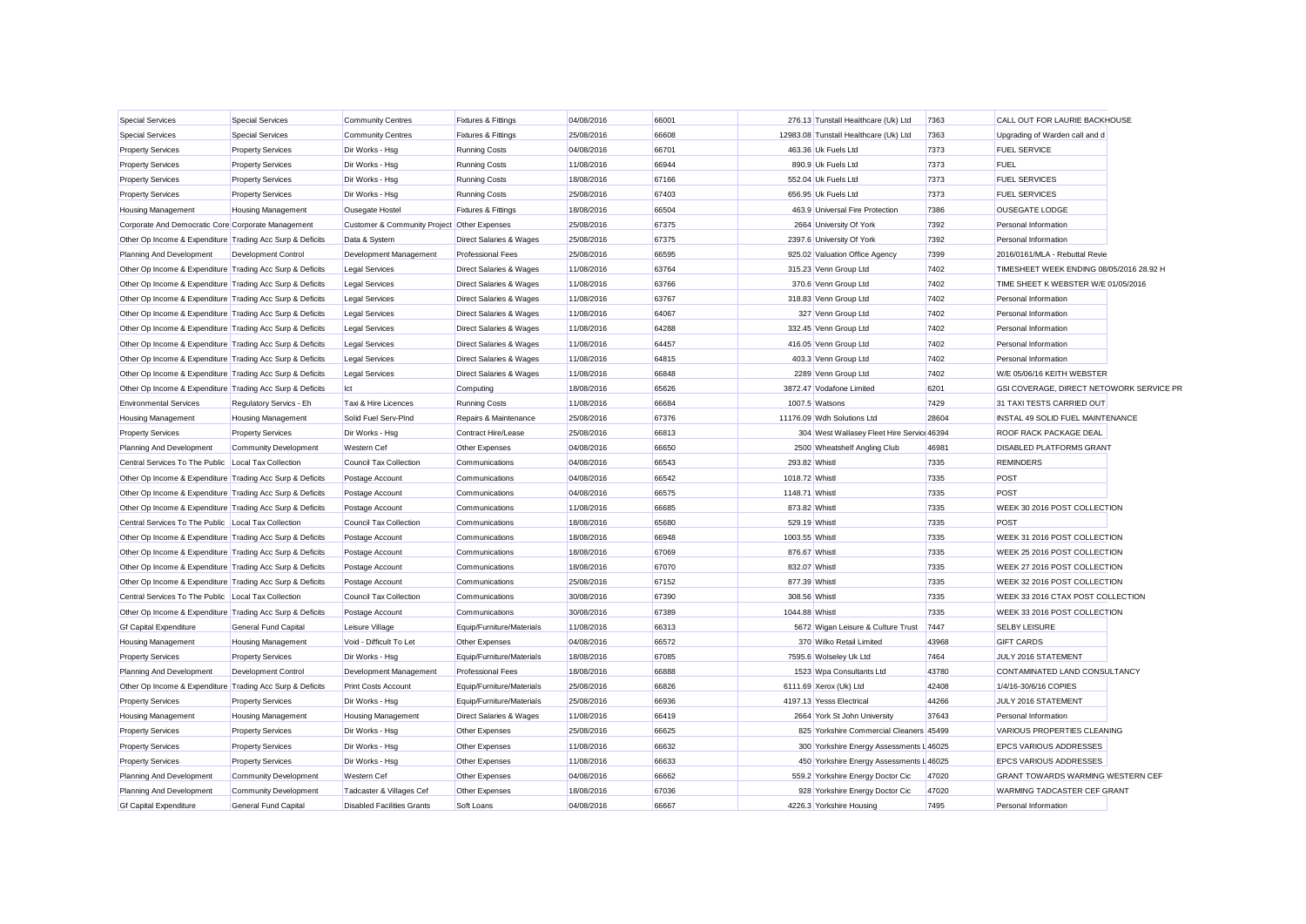| <b>Special Services</b>                                   | <b>Special Services</b>      | <b>Community Centres</b>                    | <b>Fixtures &amp; Fittings</b>     | 04/08/2016 | 66001 | 276.13 Tunstall Healthcare (Uk) Ltd        | 7363  | CALL OUT FOR LAURIE BACKHOUSE            |  |
|-----------------------------------------------------------|------------------------------|---------------------------------------------|------------------------------------|------------|-------|--------------------------------------------|-------|------------------------------------------|--|
| <b>Special Services</b>                                   | <b>Special Services</b>      | <b>Community Centres</b>                    | <b>Fixtures &amp; Fittings</b>     | 25/08/2016 | 66608 | 12983.08 Tunstall Healthcare (Uk) Ltd      | 7363  | Upgrading of Warden call and d           |  |
| <b>Property Services</b>                                  | <b>Property Services</b>     | Dir Works - Hsg                             | <b>Running Costs</b>               | 04/08/2016 | 66701 | 463.36 Uk Fuels Ltd                        | 7373  | <b>FUEL SERVICE</b>                      |  |
| <b>Property Services</b>                                  | <b>Property Services</b>     | Dir Works - Hsg                             | <b>Running Costs</b>               | 11/08/2016 | 66944 | 890.9 Uk Fuels Ltd                         | 7373  | <b>FUEL</b>                              |  |
| <b>Property Services</b>                                  | <b>Property Services</b>     | Dir Works - Hsg                             | <b>Running Costs</b>               | 18/08/2016 | 67166 | 552.04 Uk Fuels Ltd                        | 7373  | <b>FUEL SERVICES</b>                     |  |
| <b>Property Services</b>                                  | <b>Property Services</b>     | Dir Works - Hsg                             | <b>Running Costs</b>               | 25/08/2016 | 67403 | 656.95 Uk Fuels Ltd                        | 7373  | <b>FUEL SERVICES</b>                     |  |
| <b>Housing Management</b>                                 | <b>Housing Management</b>    | Ousegate Hostel                             | <b>Fixtures &amp; Fittings</b>     | 18/08/2016 | 66504 | 463.9 Universal Fire Protection            | 7386  | OUSEGATE LODGE                           |  |
| Corporate And Democratic Core Corporate Management        |                              | Customer & Community Project Other Expenses |                                    | 25/08/2016 | 67375 | 2664 University Of York                    | 7392  | Personal Information                     |  |
| Other Op Income & Expenditure Trading Acc Surp & Deficits |                              | Data & System                               | Direct Salaries & Wages            | 25/08/2016 | 67375 | 2397.6 University Of York                  | 7392  | Personal Information                     |  |
| Planning And Development                                  | Development Control          | Development Management                      | <b>Professional Fees</b>           | 25/08/2016 | 66595 | 925.02 Valuation Office Agency             | 7399  | 2016/0161/MLA - Rebuttal Revie           |  |
| Other Op Income & Expenditure Trading Acc Surp & Deficits |                              | <b>Legal Services</b>                       | <b>Direct Salaries &amp; Wages</b> | 11/08/2016 | 63764 | 315.23 Venn Group Ltd                      | 7402  | TIMESHEET WEEK ENDING 08/05/2016 28.92 H |  |
| Other Op Income & Expenditure Trading Acc Surp & Deficits |                              | <b>Legal Services</b>                       | <b>Direct Salaries &amp; Wages</b> | 11/08/2016 | 63766 | 370.6 Venn Group Ltd                       | 7402  | TIME SHEET K WEBSTER W/E 01/05/2016      |  |
| Other Op Income & Expenditure Trading Acc Surp & Deficits |                              | <b>Legal Services</b>                       | Direct Salaries & Wages            | 11/08/2016 | 63767 | 318.83 Venn Group Ltd                      | 7402  | Personal Information                     |  |
| Other Op Income & Expenditure Trading Acc Surp & Deficits |                              | <b>Legal Services</b>                       | <b>Direct Salaries &amp; Wages</b> | 11/08/2016 | 64067 | 327 Venn Group Ltd                         | 7402  | Personal Information                     |  |
| Other Op Income & Expenditure Trading Acc Surp & Deficits |                              | <b>Legal Services</b>                       | Direct Salaries & Wages            | 11/08/2016 | 64288 | 332.45 Venn Group Ltd                      | 7402  | Personal Information                     |  |
| Other Op Income & Expenditure Trading Acc Surp & Deficits |                              | <b>Legal Services</b>                       | <b>Direct Salaries &amp; Wages</b> | 11/08/2016 | 64457 | 416.05 Venn Group Ltd                      | 7402  | Personal Information                     |  |
| Other Op Income & Expenditure Trading Acc Surp & Deficits |                              | <b>Legal Services</b>                       | <b>Direct Salaries &amp; Wages</b> | 11/08/2016 | 64815 | 403.3 Venn Group Ltd                       | 7402  | Personal Information                     |  |
| Other Op Income & Expenditure Trading Acc Surp & Deficits |                              | <b>Legal Services</b>                       | Direct Salaries & Wages            | 11/08/2016 | 66848 | 2289 Venn Group Ltd                        | 7402  | W/E 05/06/16 KEITH WEBSTER               |  |
| Other Op Income & Expenditure Trading Acc Surp & Deficits |                              | Ict                                         | Computing                          | 18/08/2016 | 65626 | 3872.47 Vodafone Limited                   | 6201  | GSI COVERAGE, DIRECT NETOWORK SERVICE PR |  |
| <b>Environmental Services</b>                             | Regulatory Servics - Eh      | Taxi & Hire Licences                        | <b>Running Costs</b>               | 11/08/2016 | 66684 | 1007.5 Watsons                             | 7429  | 31 TAXI TESTS CARRIED OUT                |  |
| <b>Housing Management</b>                                 | <b>Housing Management</b>    | Solid Fuel Serv-PInd                        | Repairs & Maintenance              | 25/08/2016 | 67376 | 11176.09 Wdh Solutions Ltd                 | 28604 | INSTAL 49 SOLID FUEL MAINTENANCE         |  |
| <b>Property Services</b>                                  | <b>Property Services</b>     | Dir Works - Hsg                             | Contract Hire/Lease                | 25/08/2016 | 66813 | 304 West Wallasey Fleet Hire Service 46394 |       | ROOF RACK PACKAGE DEAL                   |  |
| Planning And Development                                  | Community Development        | <b>Western Cef</b>                          | Other Expenses                     | 04/08/2016 | 66650 | 2500 Wheatshelf Angling Club               | 46981 | DISABLED PLATFORMS GRANT                 |  |
| Central Services To The Public Local Tax Collection       |                              | Council Tax Collection                      | Communications                     | 04/08/2016 | 66543 | 293.82 Whistl                              | 7335  | <b>REMINDERS</b>                         |  |
| Other Op Income & Expenditure Trading Acc Surp & Deficits |                              | Postage Account                             | Communications                     | 04/08/2016 | 66542 | 1018.72 Whistl                             | 7335  | POST                                     |  |
| Other Op Income & Expenditure Trading Acc Surp & Deficits |                              | Postage Account                             | Communications                     | 04/08/2016 | 66575 | 1148.71 Whistl                             | 7335  | POST                                     |  |
| Other Op Income & Expenditure Trading Acc Surp & Deficits |                              | Postage Account                             | Communications                     | 11/08/2016 | 66685 | 873.82 Whistl                              | 7335  | WEEK 30 2016 POST COLLECTION             |  |
| Central Services To The Public Local Tax Collection       |                              | Council Tax Collection                      | Communications                     | 18/08/2016 | 65680 | 529.19 Whistl                              | 7335  | POST                                     |  |
| Other Op Income & Expenditure Trading Acc Surp & Deficits |                              | Postage Account                             | Communications                     | 18/08/2016 | 66948 | 1003.55 Whistl                             | 7335  | WEEK 31 2016 POST COLLECTION             |  |
| Other Op Income & Expenditure Trading Acc Surp & Deficits |                              | Postage Account                             | Communications                     | 18/08/2016 | 67069 | 876.67 Whistl                              | 7335  | WEEK 25 2016 POST COLLECTION             |  |
| Other Op Income & Expenditure Trading Acc Surp & Deficits |                              | Postage Account                             | Communications                     | 18/08/2016 | 67070 | 832.07 Whistl                              | 7335  | WEEK 27 2016 POST COLLECTION             |  |
| Other Op Income & Expenditure Trading Acc Surp & Deficits |                              | Postage Account                             | Communications                     | 25/08/2016 | 67152 | 877.39 Whistl                              | 7335  | WEEK 32 2016 POST COLLECTION             |  |
| Central Services To The Public Local Tax Collection       |                              | Council Tax Collection                      | Communications                     | 30/08/2016 | 67390 | 308.56 Whistl                              | 7335  | WEEK 33 2016 CTAX POST COLLECTION        |  |
| Other Op Income & Expenditure Trading Acc Surp & Deficits |                              | Postage Account                             | Communications                     | 30/08/2016 | 67389 | 1044.88 Whistl                             | 7335  | WEEK 33 2016 POST COLLECTION             |  |
| <b>Gf Capital Expenditure</b>                             | <b>General Fund Capital</b>  | Leisure Village                             | Equip/Furniture/Materials          | 11/08/2016 | 66313 | 5672 Wigan Leisure & Culture Trust         | 7447  | <b>SELBY LEISURE</b>                     |  |
| <b>Housing Management</b>                                 | <b>Housing Management</b>    | Void - Difficult To Let                     | Other Expenses                     | 04/08/2016 | 66572 | 370 Wilko Retail Limited                   | 43968 | <b>GIFT CARDS</b>                        |  |
| <b>Property Services</b>                                  | <b>Property Services</b>     | Dir Works - Hsg                             | Equip/Furniture/Materials          | 18/08/2016 | 67085 | 7595.6 Wolseley Uk Ltd                     | 7464  | JULY 2016 STATEMENT                      |  |
| Planning And Development                                  | Development Control          | Development Management                      | <b>Professional Fees</b>           | 18/08/2016 | 66888 | 1523 Wpa Consultants Ltd                   | 43780 | CONTAMINATED LAND CONSULTANCY            |  |
| Other Op Income & Expenditure Trading Acc Surp & Deficits |                              | <b>Print Costs Account</b>                  | Equip/Furniture/Materials          | 25/08/2016 | 66826 | 6111.69 Xerox (Uk) Ltd                     | 42408 | 1/4/16-30/6/16 COPIES                    |  |
| <b>Property Services</b>                                  | <b>Property Services</b>     | Dir Works - Hsg                             | Equip/Furniture/Materials          | 25/08/2016 | 66936 | 4197.13 Yesss Electrical                   | 44266 | JULY 2016 STATEMENT                      |  |
| <b>Housing Management</b>                                 | <b>Housing Management</b>    | <b>Housing Management</b>                   | Direct Salaries & Wages            | 11/08/2016 | 66419 | 2664 York St John University               | 37643 | Personal Information                     |  |
| <b>Property Services</b>                                  | <b>Property Services</b>     | Dir Works - Hsg                             | Other Expenses                     | 25/08/2016 | 66625 | 825 Yorkshire Commercial Cleaners 45499    |       | VARIOUS PROPERTIES CLEANING              |  |
| <b>Property Services</b>                                  | <b>Property Services</b>     | Dir Works - Hsg                             | Other Expenses                     | 11/08/2016 | 66632 | 300 Yorkshire Energy Assessments L 46025   |       | EPCS VARIOUS ADDRESSES                   |  |
| <b>Property Services</b>                                  | <b>Property Services</b>     | Dir Works - Hsg                             | Other Expenses                     | 11/08/2016 | 66633 | 450 Yorkshire Energy Assessments L 46025   |       | EPCS VARIOUS ADDRESSES                   |  |
| Planning And Development                                  | <b>Community Development</b> | <b>Western Cef</b>                          | Other Expenses                     | 04/08/2016 | 66662 | 559.2 Yorkshire Energy Doctor Cic          | 47020 | GRANT TOWARDS WARMING WESTERN CEF        |  |
| Planning And Development                                  | <b>Community Development</b> | Tadcaster & Villages Cef                    | Other Expenses                     | 18/08/2016 | 67036 | 928 Yorkshire Energy Doctor Cic            | 47020 | WARMING TADCASTER CEF GRANT              |  |
| <b>Gf Capital Expenditure</b>                             | <b>General Fund Capital</b>  | <b>Disabled Facilities Grants</b>           | Soft Loans                         | 04/08/2016 | 66667 | 4226.3 Yorkshire Housing                   | 7495  | Personal Information                     |  |
|                                                           |                              |                                             |                                    |            |       |                                            |       |                                          |  |